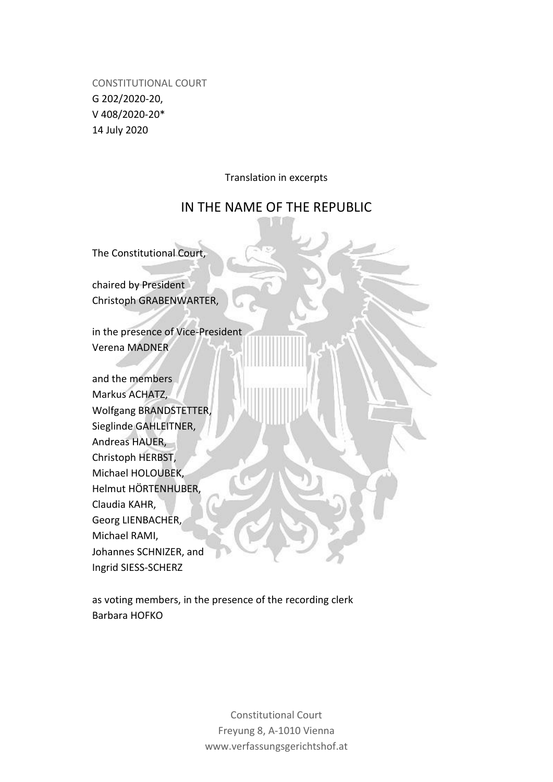CONSTITUTIONAL COURT G 202/2020-20, V 408/2020-20\* 14 July 2020

Translation in excerpts

# IN THE NAME OF THE REPUBLIC

The Constitutional Court,

chaired by President Christoph GRABENWARTER,

in the presence of Vice-President Verena MADNER

and the members Markus ACHATZ, Wolfgang BRANDSTETTER, Sieglinde GAHLEITNER, Andreas HAUER, Christoph HERBST, Michael HOLOUBEK, Helmut HÖRTENHUBER, Claudia KAHR, Georg LIENBACHER, Michael RAMI, Johannes SCHNIZER, and Ingrid SIESS-SCHERZ

as voting members, in the presence of the recording clerk Barbara HOFKO

> Constitutional Court Freyung 8, A-1010 Vienna www.verfassungsgerichtshof.at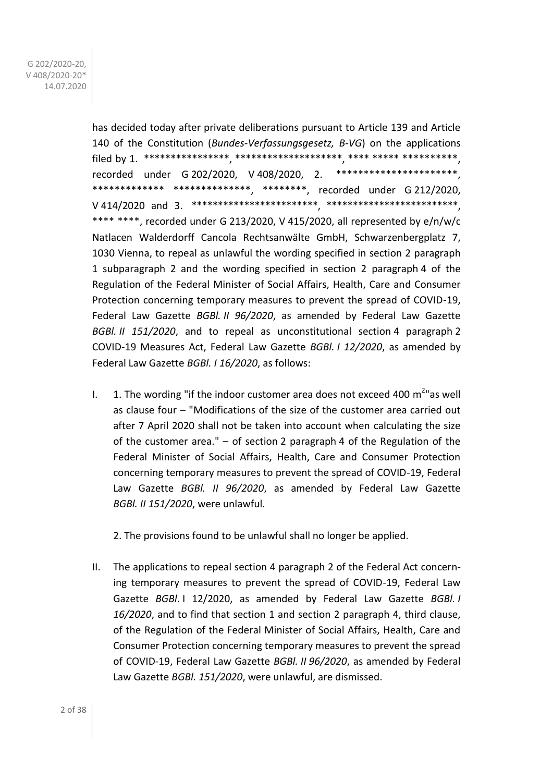has decided today after private deliberations pursuant to Article 139 and Article 140 of the Constitution (*Bundes-Verfassungsgesetz, B-VG*) on the applications filed by 1. \*\*\*\*\*\*\*\*\*\*\*\*\*\*\*\*, \*\*\*\*\*\*\*\*\*\*\*\*\*\*\*\*\*\*\*\*, \*\*\*\* \*\*\*\*\* \*\*\*\*\*\*\*\*\*\*, recorded under G 202/2020, V 408/2020, 2. \*\*\*\*\*\*\*\*\*\*\*\*\*\*\*\*\*\*\*\*\*\*, \*\*\*\*\*\*\*\*\*\*\*\*\* \*\*\*\*\*\*\*\*\*\*\*\*\*\*, \*\*\*\*\*\*\*\*, recorded under G 212/2020, V 414/2020 and 3. \*\*\*\*\*\*\*\*\*\*\*\*\*\*\*\*\*\*\*\*\*\*\*\*, \*\*\*\*\*\*\*\*\*\*\*\*\*\*\*\*\*\*\*\*\*\*\*\*\*, \*\*\*\* \*\*\*\*, recorded under G 213/2020, V 415/2020, all represented by e/n/w/c Natlacen Walderdorff Cancola Rechtsanwälte GmbH, Schwarzenbergplatz 7, 1030 Vienna, to repeal as unlawful the wording specified in section 2 paragraph 1 subparagraph 2 and the wording specified in section 2 paragraph 4 of the Regulation of the Federal Minister of Social Affairs, Health, Care and Consumer Protection concerning temporary measures to prevent the spread of COVID-19, Federal Law Gazette *BGBl. II 96/2020*, as amended by Federal Law Gazette *BGBl. II 151/2020*, and to repeal as unconstitutional section 4 paragraph 2 COVID-19 Measures Act, Federal Law Gazette *BGBl. I 12/2020*, as amended by Federal Law Gazette *BGBl. I 16/2020*, as follows:

I.  $1.$  The wording "if the indoor customer area does not exceed 400  $m^2$ "as well as clause four – "Modifications of the size of the customer area carried out after 7 April 2020 shall not be taken into account when calculating the size of the customer area." – of section 2 paragraph 4 of the Regulation of the Federal Minister of Social Affairs, Health, Care and Consumer Protection concerning temporary measures to prevent the spread of COVID-19, Federal Law Gazette *BGBl. II 96/2020*, as amended by Federal Law Gazette *BGBl. II 151/2020*, were unlawful.

2. The provisions found to be unlawful shall no longer be applied.

II. The applications to repeal section 4 paragraph 2 of the Federal Act concerning temporary measures to prevent the spread of COVID-19, Federal Law Gazette *BGBl*. I 12/2020, as amended by Federal Law Gazette *BGBl. I 16/2020*, and to find that section 1 and section 2 paragraph 4, third clause, of the Regulation of the Federal Minister of Social Affairs, Health, Care and Consumer Protection concerning temporary measures to prevent the spread of COVID-19, Federal Law Gazette *BGBl. II 96/2020*, as amended by Federal Law Gazette *BGBl. 151/2020*, were unlawful, are dismissed.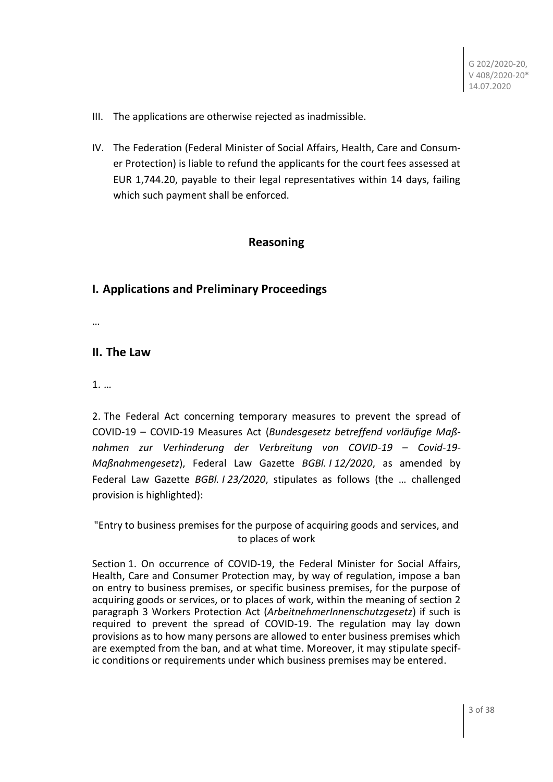- III. The applications are otherwise rejected as inadmissible.
- IV. The Federation (Federal Minister of Social Affairs, Health, Care and Consumer Protection) is liable to refund the applicants for the court fees assessed at EUR 1,744.20, payable to their legal representatives within 14 days, failing which such payment shall be enforced.

## **Reasoning**

# **I. Applications and Preliminary Proceedings**

…

# **II. The Law**

1. …

2. The Federal Act concerning temporary measures to prevent the spread of COVID-19 – COVID-19 Measures Act (*Bundesgesetz betreffend vorläufige Maßnahmen zur Verhinderung der Verbreitung von COVID-19* – *Covid-19- Maßnahmengesetz*), Federal Law Gazette *BGBl. I 12/2020*, as amended by Federal Law Gazette *BGBl. I 23/2020*, stipulates as follows (the … challenged provision is highlighted):

"Entry to business premises for the purpose of acquiring goods and services, and to places of work

Section 1. On occurrence of COVID-19, the Federal Minister for Social Affairs, Health, Care and Consumer Protection may, by way of regulation, impose a ban on entry to business premises, or specific business premises, for the purpose of acquiring goods or services, or to places of work, within the meaning of section 2 paragraph 3 Workers Protection Act (*ArbeitnehmerInnenschutzgesetz*) if such is required to prevent the spread of COVID-19. The regulation may lay down provisions as to how many persons are allowed to enter business premises which are exempted from the ban, and at what time. Moreover, it may stipulate specific conditions or requirements under which business premises may be entered.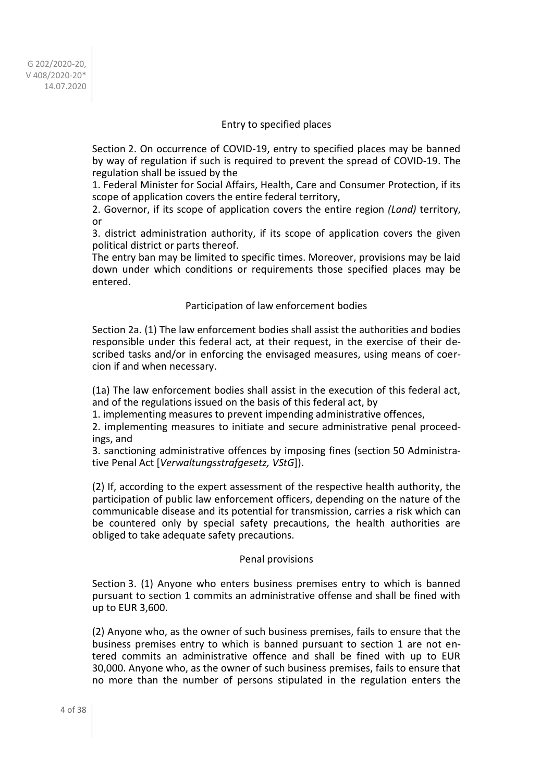### Entry to specified places

Section 2. On occurrence of COVID-19, entry to specified places may be banned by way of regulation if such is required to prevent the spread of COVID-19. The regulation shall be issued by the

1. Federal Minister for Social Affairs, Health, Care and Consumer Protection, if its scope of application covers the entire federal territory,

2. Governor, if its scope of application covers the entire region *(Land)* territory, or

3. district administration authority, if its scope of application covers the given political district or parts thereof.

The entry ban may be limited to specific times. Moreover, provisions may be laid down under which conditions or requirements those specified places may be entered.

#### Participation of law enforcement bodies

Section 2a. (1) The law enforcement bodies shall assist the authorities and bodies responsible under this federal act, at their request, in the exercise of their described tasks and/or in enforcing the envisaged measures, using means of coercion if and when necessary.

(1a) The law enforcement bodies shall assist in the execution of this federal act, and of the regulations issued on the basis of this federal act, by

1. implementing measures to prevent impending administrative offences,

2. implementing measures to initiate and secure administrative penal proceedings, and

3. sanctioning administrative offences by imposing fines (section 50 Administrative Penal Act [*Verwaltungsstrafgesetz, VStG*]).

(2) If, according to the expert assessment of the respective health authority, the participation of public law enforcement officers, depending on the nature of the communicable disease and its potential for transmission, carries a risk which can be countered only by special safety precautions, the health authorities are obliged to take adequate safety precautions.

#### Penal provisions

Section 3. (1) Anyone who enters business premises entry to which is banned pursuant to section 1 commits an administrative offense and shall be fined with up to EUR 3,600.

(2) Anyone who, as the owner of such business premises, fails to ensure that the business premises entry to which is banned pursuant to section 1 are not entered commits an administrative offence and shall be fined with up to EUR 30,000. Anyone who, as the owner of such business premises, fails to ensure that no more than the number of persons stipulated in the regulation enters the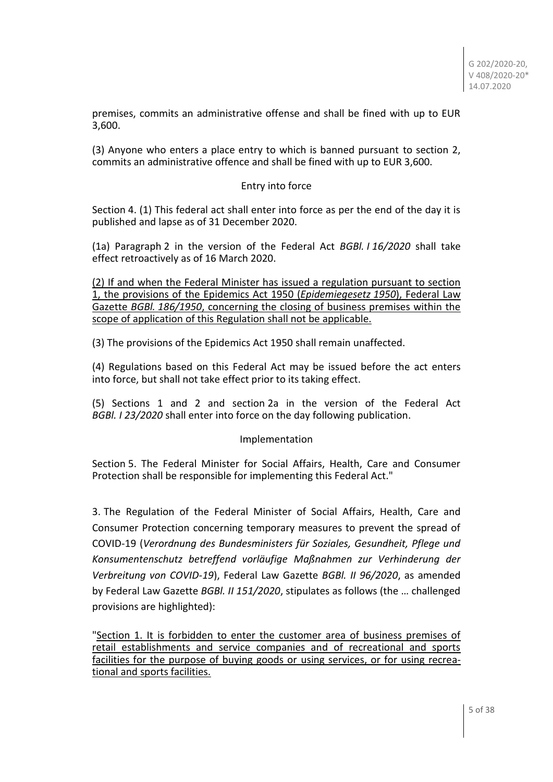premises, commits an administrative offense and shall be fined with up to EUR 3,600.

(3) Anyone who enters a place entry to which is banned pursuant to section 2, commits an administrative offence and shall be fined with up to EUR 3,600.

## Entry into force

Section 4. (1) This federal act shall enter into force as per the end of the day it is published and lapse as of 31 December 2020.

(1a) Paragraph 2 in the version of the Federal Act *BGBl. I 16/2020* shall take effect retroactively as of 16 March 2020.

(2) If and when the Federal Minister has issued a regulation pursuant to section 1, the provisions of the Epidemics Act 1950 (*Epidemiegesetz 1950*), Federal Law Gazette *BGBl. 186/1950*, concerning the closing of business premises within the scope of application of this Regulation shall not be applicable.

(3) The provisions of the Epidemics Act 1950 shall remain unaffected.

(4) Regulations based on this Federal Act may be issued before the act enters into force, but shall not take effect prior to its taking effect.

(5) Sections 1 and 2 and section 2a in the version of the Federal Act *BGBl. I 23/2020* shall enter into force on the day following publication.

#### Implementation

Section 5. The Federal Minister for Social Affairs, Health, Care and Consumer Protection shall be responsible for implementing this Federal Act."

3. The Regulation of the Federal Minister of Social Affairs, Health, Care and Consumer Protection concerning temporary measures to prevent the spread of COVID-19 (*Verordnung des Bundesministers für Soziales, Gesundheit, Pflege und Konsumentenschutz betreffend vorläufige Maßnahmen zur Verhinderung der Verbreitung von COVID-19*), Federal Law Gazette *BGBl. II 96/2020*, as amended by Federal Law Gazette *BGBl. II 151/2020*, stipulates as follows (the … challenged provisions are highlighted):

"Section 1. It is forbidden to enter the customer area of business premises of retail establishments and service companies and of recreational and sports facilities for the purpose of buying goods or using services, or for using recreational and sports facilities.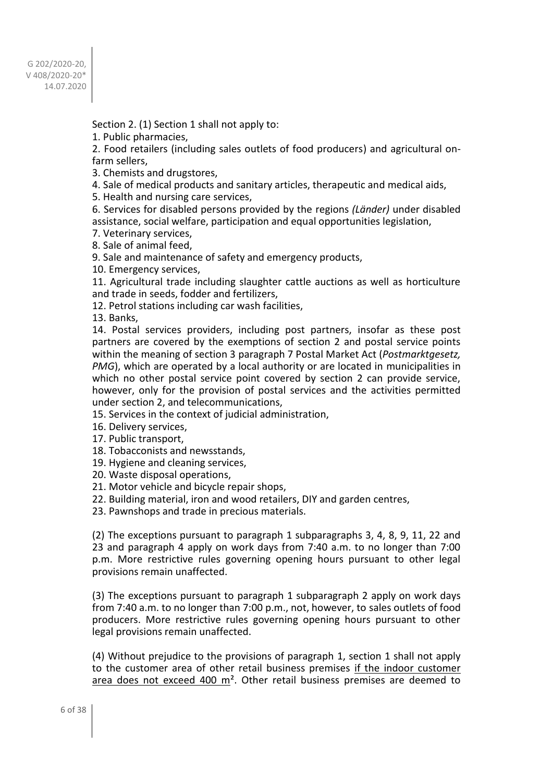Section 2. (1) Section 1 shall not apply to:

1. Public pharmacies,

2. Food retailers (including sales outlets of food producers) and agricultural onfarm sellers,

3. Chemists and drugstores,

4. Sale of medical products and sanitary articles, therapeutic and medical aids,

5. Health and nursing care services,

6. Services for disabled persons provided by the regions *(Länder)* under disabled assistance, social welfare, participation and equal opportunities legislation,

7. Veterinary services,

8. Sale of animal feed,

9. Sale and maintenance of safety and emergency products,

10. Emergency services,

11. Agricultural trade including slaughter cattle auctions as well as horticulture and trade in seeds, fodder and fertilizers,

12. Petrol stations including car wash facilities,

13. Banks,

14. Postal services providers, including post partners, insofar as these post partners are covered by the exemptions of section 2 and postal service points within the meaning of section 3 paragraph 7 Postal Market Act (*Postmarktgesetz, PMG*), which are operated by a local authority or are located in municipalities in which no other postal service point covered by section 2 can provide service, however, only for the provision of postal services and the activities permitted under section 2, and telecommunications,

15. Services in the context of judicial administration,

16. Delivery services,

17. Public transport,

18. Tobacconists and newsstands,

19. Hygiene and cleaning services,

20. Waste disposal operations,

21. Motor vehicle and bicycle repair shops,

22. Building material, iron and wood retailers, DIY and garden centres,

23. Pawnshops and trade in precious materials.

(2) The exceptions pursuant to paragraph 1 subparagraphs 3, 4, 8, 9, 11, 22 and 23 and paragraph 4 apply on work days from 7:40 a.m. to no longer than 7:00 p.m. More restrictive rules governing opening hours pursuant to other legal provisions remain unaffected.

(3) The exceptions pursuant to paragraph 1 subparagraph 2 apply on work days from 7:40 a.m. to no longer than 7:00 p.m., not, however, to sales outlets of food producers. More restrictive rules governing opening hours pursuant to other legal provisions remain unaffected.

(4) Without prejudice to the provisions of paragraph 1, section 1 shall not apply to the customer area of other retail business premises if the indoor customer area does not exceed 400  $m<sup>2</sup>$ . Other retail business premises are deemed to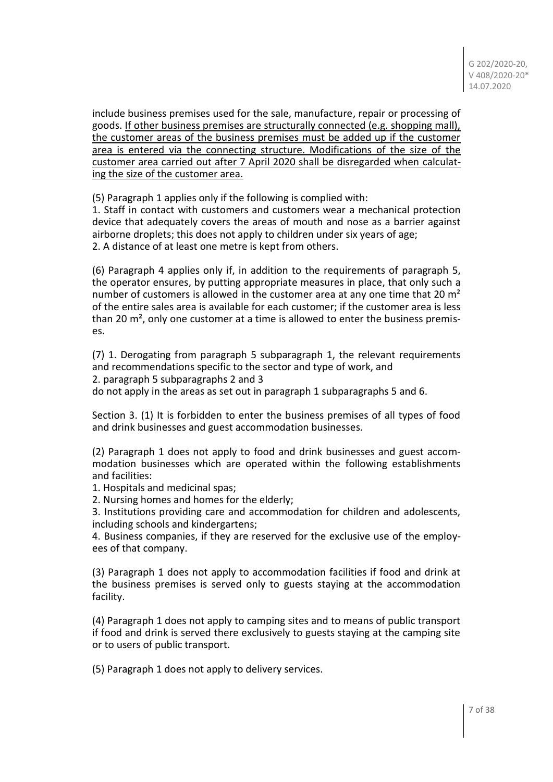include business premises used for the sale, manufacture, repair or processing of goods. If other business premises are structurally connected (e.g. shopping mall), the customer areas of the business premises must be added up if the customer area is entered via the connecting structure. Modifications of the size of the customer area carried out after 7 April 2020 shall be disregarded when calculating the size of the customer area.

(5) Paragraph 1 applies only if the following is complied with:

1. Staff in contact with customers and customers wear a mechanical protection device that adequately covers the areas of mouth and nose as a barrier against airborne droplets; this does not apply to children under six years of age; 2. A distance of at least one metre is kept from others.

(6) Paragraph 4 applies only if, in addition to the requirements of paragraph 5, the operator ensures, by putting appropriate measures in place, that only such a number of customers is allowed in the customer area at any one time that 20  $m<sup>2</sup>$ of the entire sales area is available for each customer; if the customer area is less than 20 m<sup>2</sup>, only one customer at a time is allowed to enter the business premises.

(7) 1. Derogating from paragraph 5 subparagraph 1, the relevant requirements and recommendations specific to the sector and type of work, and 2. paragraph 5 subparagraphs 2 and 3

do not apply in the areas as set out in paragraph 1 subparagraphs 5 and 6.

Section 3. (1) It is forbidden to enter the business premises of all types of food and drink businesses and guest accommodation businesses.

(2) Paragraph 1 does not apply to food and drink businesses and guest accommodation businesses which are operated within the following establishments and facilities:

1. Hospitals and medicinal spas;

2. Nursing homes and homes for the elderly;

3. Institutions providing care and accommodation for children and adolescents, including schools and kindergartens;

4. Business companies, if they are reserved for the exclusive use of the employees of that company.

(3) Paragraph 1 does not apply to accommodation facilities if food and drink at the business premises is served only to guests staying at the accommodation facility.

(4) Paragraph 1 does not apply to camping sites and to means of public transport if food and drink is served there exclusively to guests staying at the camping site or to users of public transport.

(5) Paragraph 1 does not apply to delivery services.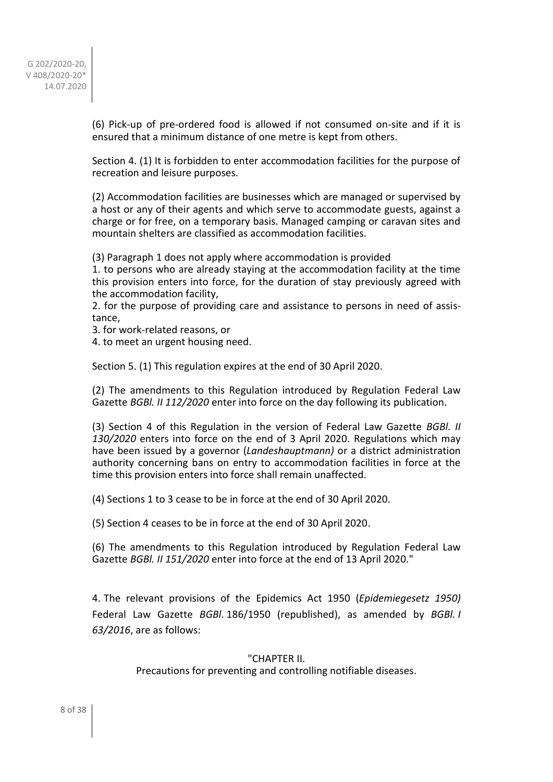(6) Pick-up of pre-ordered food is allowed if not consumed on-site and if it is ensured that a minimum distance of one metre is kept from others.

Section 4. (1) It is forbidden to enter accommodation facilities for the purpose of recreation and leisure purposes.

(2) Accommodation facilities are businesses which are managed or supervised by a host or any of their agents and which serve to accommodate guests, against a charge or for free, on a temporary basis. Managed camping or caravan sites and mountain shelters are classified as accommodation facilities.

(3) Paragraph 1 does not apply where accommodation is provided

1. to persons who are already staying at the accommodation facility at the time this provision enters into force, for the duration of stay previously agreed with the accommodation facility,

2. for the purpose of providing care and assistance to persons in need of assistance,

3. for work-related reasons, or

4. to meet an urgent housing need.

Section 5. (1) This regulation expires at the end of 30 April 2020.

(2) The amendments to this Regulation introduced by Regulation Federal Law Gazette *BGBl. II 112/2020* enter into force on the day following its publication.

(3) Section 4 of this Regulation in the version of Federal Law Gazette *BGBl. II 130/2020* enters into force on the end of 3 April 2020. Regulations which may have been issued by a governor (*Landeshauptmann)* or a district administration authority concerning bans on entry to accommodation facilities in force at the time this provision enters into force shall remain unaffected.

(4) Sections 1 to 3 cease to be in force at the end of 30 April 2020.

(5) Section 4 ceases to be in force at the end of 30 April 2020.

(6) The amendments to this Regulation introduced by Regulation Federal Law Gazette *BGBl. II 151/2020* enter into force at the end of 13 April 2020."

4. The relevant provisions of the Epidemics Act 1950 (*Epidemiegesetz 1950)* Federal Law Gazette *BGBl*. 186/1950 (republished), as amended by *BGBl. I 63/2016*, are as follows:

#### "CHAPTER II.

Precautions for preventing and controlling notifiable diseases.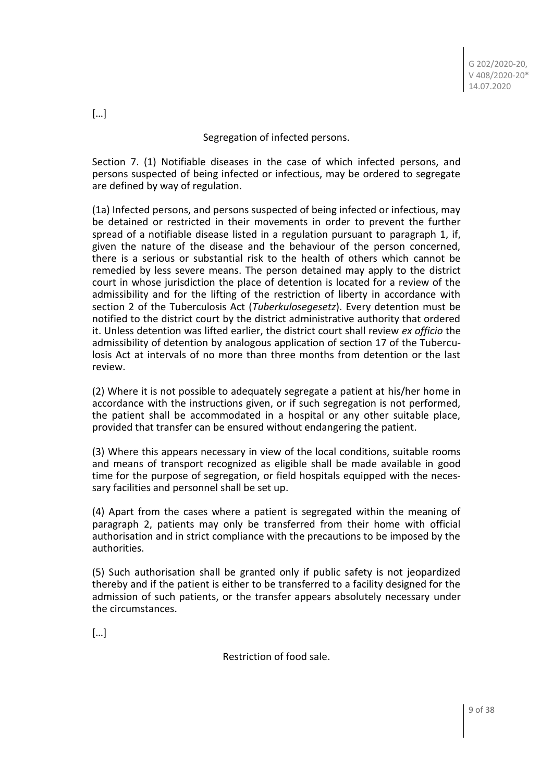### Segregation of infected persons.

Section 7. (1) Notifiable diseases in the case of which infected persons, and persons suspected of being infected or infectious, may be ordered to segregate are defined by way of regulation.

(1a) Infected persons, and persons suspected of being infected or infectious, may be detained or restricted in their movements in order to prevent the further spread of a notifiable disease listed in a regulation pursuant to paragraph 1, if, given the nature of the disease and the behaviour of the person concerned, there is a serious or substantial risk to the health of others which cannot be remedied by less severe means. The person detained may apply to the district court in whose jurisdiction the place of detention is located for a review of the admissibility and for the lifting of the restriction of liberty in accordance with section 2 of the Tuberculosis Act (*Tuberkulosegesetz*). Every detention must be notified to the district court by the district administrative authority that ordered it. Unless detention was lifted earlier, the district court shall review *ex officio* the admissibility of detention by analogous application of section 17 of the Tuberculosis Act at intervals of no more than three months from detention or the last review.

(2) Where it is not possible to adequately segregate a patient at his/her home in accordance with the instructions given, or if such segregation is not performed, the patient shall be accommodated in a hospital or any other suitable place, provided that transfer can be ensured without endangering the patient.

(3) Where this appears necessary in view of the local conditions, suitable rooms and means of transport recognized as eligible shall be made available in good time for the purpose of segregation, or field hospitals equipped with the necessary facilities and personnel shall be set up.

(4) Apart from the cases where a patient is segregated within the meaning of paragraph 2, patients may only be transferred from their home with official authorisation and in strict compliance with the precautions to be imposed by the authorities.

(5) Such authorisation shall be granted only if public safety is not jeopardized thereby and if the patient is either to be transferred to a facility designed for the admission of such patients, or the transfer appears absolutely necessary under the circumstances.

[…]

Restriction of food sale.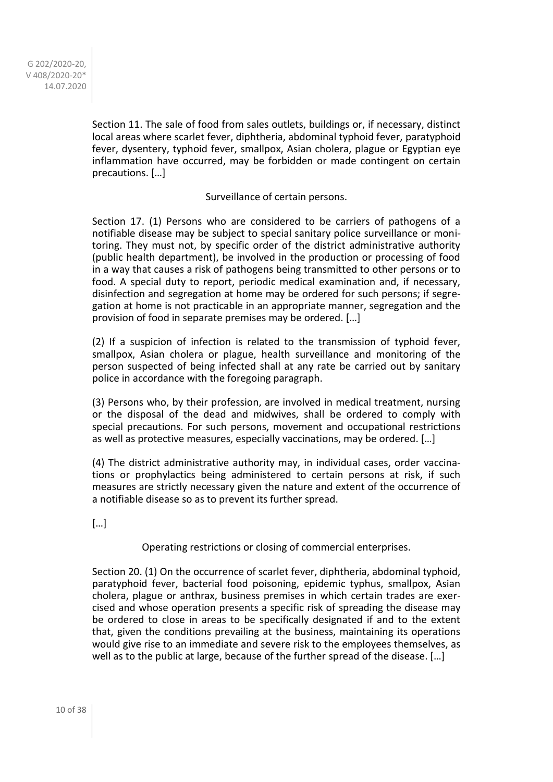> Section 11. The sale of food from sales outlets, buildings or, if necessary, distinct local areas where scarlet fever, diphtheria, abdominal typhoid fever, paratyphoid fever, dysentery, typhoid fever, smallpox, Asian cholera, plague or Egyptian eye inflammation have occurred, may be forbidden or made contingent on certain precautions. […]

### Surveillance of certain persons.

Section 17. (1) Persons who are considered to be carriers of pathogens of a notifiable disease may be subject to special sanitary police surveillance or monitoring. They must not, by specific order of the district administrative authority (public health department), be involved in the production or processing of food in a way that causes a risk of pathogens being transmitted to other persons or to food. A special duty to report, periodic medical examination and, if necessary, disinfection and segregation at home may be ordered for such persons; if segregation at home is not practicable in an appropriate manner, segregation and the provision of food in separate premises may be ordered. […]

(2) If a suspicion of infection is related to the transmission of typhoid fever, smallpox, Asian cholera or plague, health surveillance and monitoring of the person suspected of being infected shall at any rate be carried out by sanitary police in accordance with the foregoing paragraph.

(3) Persons who, by their profession, are involved in medical treatment, nursing or the disposal of the dead and midwives, shall be ordered to comply with special precautions. For such persons, movement and occupational restrictions as well as protective measures, especially vaccinations, may be ordered. […]

(4) The district administrative authority may, in individual cases, order vaccinations or prophylactics being administered to certain persons at risk, if such measures are strictly necessary given the nature and extent of the occurrence of a notifiable disease so as to prevent its further spread.

[…]

Operating restrictions or closing of commercial enterprises.

Section 20. (1) On the occurrence of scarlet fever, diphtheria, abdominal typhoid, paratyphoid fever, bacterial food poisoning, epidemic typhus, smallpox, Asian cholera, plague or anthrax, business premises in which certain trades are exercised and whose operation presents a specific risk of spreading the disease may be ordered to close in areas to be specifically designated if and to the extent that, given the conditions prevailing at the business, maintaining its operations would give rise to an immediate and severe risk to the employees themselves, as well as to the public at large, because of the further spread of the disease. […]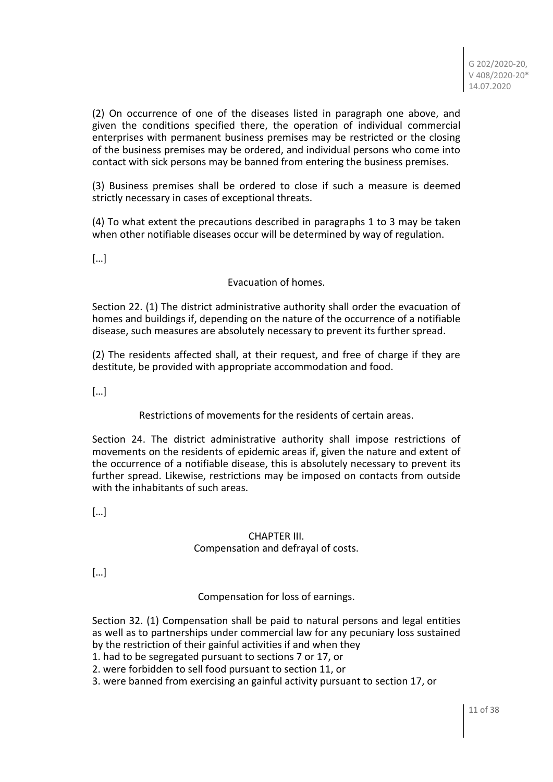(2) On occurrence of one of the diseases listed in paragraph one above, and given the conditions specified there, the operation of individual commercial enterprises with permanent business premises may be restricted or the closing of the business premises may be ordered, and individual persons who come into contact with sick persons may be banned from entering the business premises.

(3) Business premises shall be ordered to close if such a measure is deemed strictly necessary in cases of exceptional threats.

(4) To what extent the precautions described in paragraphs 1 to 3 may be taken when other notifiable diseases occur will be determined by way of regulation.

[…]

## Evacuation of homes.

Section 22. (1) The district administrative authority shall order the evacuation of homes and buildings if, depending on the nature of the occurrence of a notifiable disease, such measures are absolutely necessary to prevent its further spread.

(2) The residents affected shall, at their request, and free of charge if they are destitute, be provided with appropriate accommodation and food.

[…]

Restrictions of movements for the residents of certain areas.

Section 24. The district administrative authority shall impose restrictions of movements on the residents of epidemic areas if, given the nature and extent of the occurrence of a notifiable disease, this is absolutely necessary to prevent its further spread. Likewise, restrictions may be imposed on contacts from outside with the inhabitants of such areas.

[…]

## CHAPTER III. Compensation and defrayal of costs.

[…]

Compensation for loss of earnings.

Section 32. (1) Compensation shall be paid to natural persons and legal entities as well as to partnerships under commercial law for any pecuniary loss sustained by the restriction of their gainful activities if and when they

1. had to be segregated pursuant to sections 7 or 17, or

2. were forbidden to sell food pursuant to section 11, or

3. were banned from exercising an gainful activity pursuant to section 17, or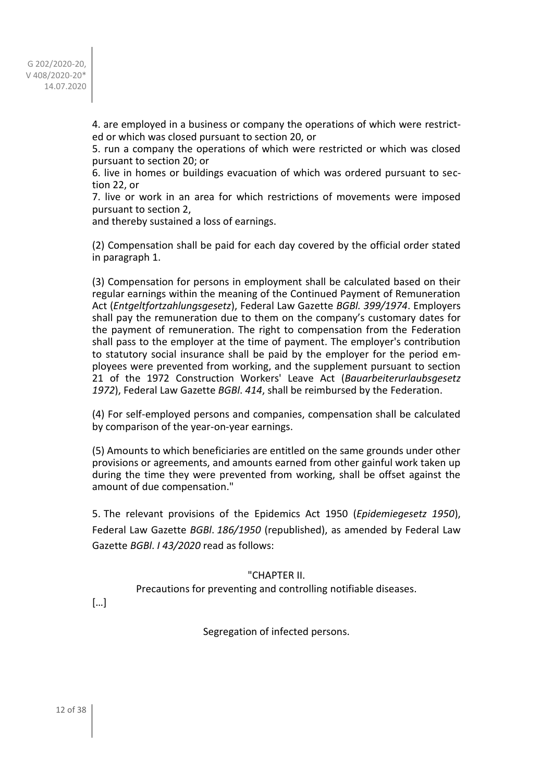> 4. are employed in a business or company the operations of which were restricted or which was closed pursuant to section 20, or

> 5. run a company the operations of which were restricted or which was closed pursuant to section 20; or

> 6. live in homes or buildings evacuation of which was ordered pursuant to section 22, or

> 7. live or work in an area for which restrictions of movements were imposed pursuant to section 2,

and thereby sustained a loss of earnings.

(2) Compensation shall be paid for each day covered by the official order stated in paragraph 1.

(3) Compensation for persons in employment shall be calculated based on their regular earnings within the meaning of the Continued Payment of Remuneration Act (*Entgeltfortzahlungsgesetz*), Federal Law Gazette *BGBl. 399/1974*. Employers shall pay the remuneration due to them on the company's customary dates for the payment of remuneration. The right to compensation from the Federation shall pass to the employer at the time of payment. The employer's contribution to statutory social insurance shall be paid by the employer for the period employees were prevented from working, and the supplement pursuant to section 21 of the 1972 Construction Workers' Leave Act (*Bauarbeiterurlaubsgesetz 1972*), Federal Law Gazette *BGBl*. *414*, shall be reimbursed by the Federation.

(4) For self-employed persons and companies, compensation shall be calculated by comparison of the year-on-year earnings.

(5) Amounts to which beneficiaries are entitled on the same grounds under other provisions or agreements, and amounts earned from other gainful work taken up during the time they were prevented from working, shall be offset against the amount of due compensation."

5. The relevant provisions of the Epidemics Act 1950 (*Epidemiegesetz 1950*), Federal Law Gazette *BGBl*. *186/1950* (republished), as amended by Federal Law Gazette *BGBl*. *I 43/2020* read as follows:

## "CHAPTER II.

Precautions for preventing and controlling notifiable diseases.

[…]

Segregation of infected persons.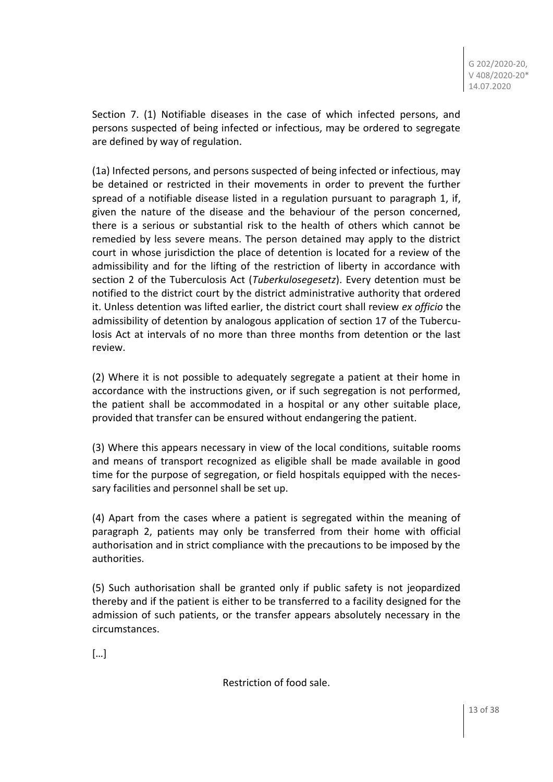Section 7. (1) Notifiable diseases in the case of which infected persons, and persons suspected of being infected or infectious, may be ordered to segregate are defined by way of regulation.

(1a) Infected persons, and persons suspected of being infected or infectious, may be detained or restricted in their movements in order to prevent the further spread of a notifiable disease listed in a regulation pursuant to paragraph 1, if, given the nature of the disease and the behaviour of the person concerned, there is a serious or substantial risk to the health of others which cannot be remedied by less severe means. The person detained may apply to the district court in whose jurisdiction the place of detention is located for a review of the admissibility and for the lifting of the restriction of liberty in accordance with section 2 of the Tuberculosis Act (*Tuberkulosegesetz*). Every detention must be notified to the district court by the district administrative authority that ordered it. Unless detention was lifted earlier, the district court shall review *ex officio* the admissibility of detention by analogous application of section 17 of the Tuberculosis Act at intervals of no more than three months from detention or the last review.

(2) Where it is not possible to adequately segregate a patient at their home in accordance with the instructions given, or if such segregation is not performed, the patient shall be accommodated in a hospital or any other suitable place, provided that transfer can be ensured without endangering the patient.

(3) Where this appears necessary in view of the local conditions, suitable rooms and means of transport recognized as eligible shall be made available in good time for the purpose of segregation, or field hospitals equipped with the necessary facilities and personnel shall be set up.

(4) Apart from the cases where a patient is segregated within the meaning of paragraph 2, patients may only be transferred from their home with official authorisation and in strict compliance with the precautions to be imposed by the authorities.

(5) Such authorisation shall be granted only if public safety is not jeopardized thereby and if the patient is either to be transferred to a facility designed for the admission of such patients, or the transfer appears absolutely necessary in the circumstances.

[…]

Restriction of food sale.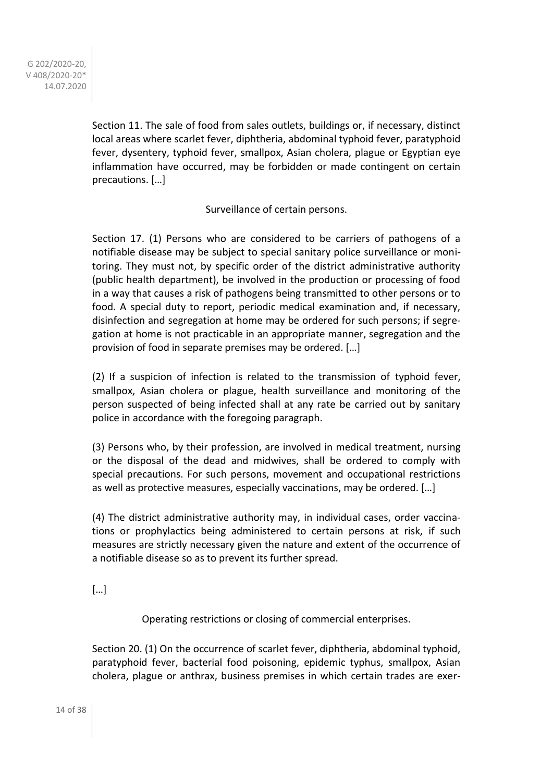Section 11. The sale of food from sales outlets, buildings or, if necessary, distinct local areas where scarlet fever, diphtheria, abdominal typhoid fever, paratyphoid fever, dysentery, typhoid fever, smallpox, Asian cholera, plague or Egyptian eye inflammation have occurred, may be forbidden or made contingent on certain precautions. […]

Surveillance of certain persons.

Section 17. (1) Persons who are considered to be carriers of pathogens of a notifiable disease may be subject to special sanitary police surveillance or monitoring. They must not, by specific order of the district administrative authority (public health department), be involved in the production or processing of food in a way that causes a risk of pathogens being transmitted to other persons or to food. A special duty to report, periodic medical examination and, if necessary, disinfection and segregation at home may be ordered for such persons; if segregation at home is not practicable in an appropriate manner, segregation and the provision of food in separate premises may be ordered. […]

(2) If a suspicion of infection is related to the transmission of typhoid fever, smallpox, Asian cholera or plague, health surveillance and monitoring of the person suspected of being infected shall at any rate be carried out by sanitary police in accordance with the foregoing paragraph.

(3) Persons who, by their profession, are involved in medical treatment, nursing or the disposal of the dead and midwives, shall be ordered to comply with special precautions. For such persons, movement and occupational restrictions as well as protective measures, especially vaccinations, may be ordered. […]

(4) The district administrative authority may, in individual cases, order vaccinations or prophylactics being administered to certain persons at risk, if such measures are strictly necessary given the nature and extent of the occurrence of a notifiable disease so as to prevent its further spread.

[…]

Operating restrictions or closing of commercial enterprises.

Section 20. (1) On the occurrence of scarlet fever, diphtheria, abdominal typhoid, paratyphoid fever, bacterial food poisoning, epidemic typhus, smallpox, Asian cholera, plague or anthrax, business premises in which certain trades are exer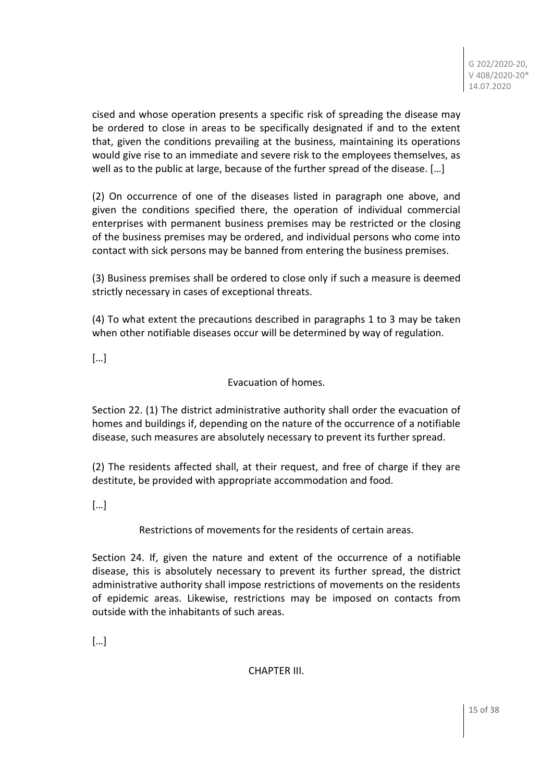cised and whose operation presents a specific risk of spreading the disease may be ordered to close in areas to be specifically designated if and to the extent that, given the conditions prevailing at the business, maintaining its operations would give rise to an immediate and severe risk to the employees themselves, as well as to the public at large, because of the further spread of the disease. […]

(2) On occurrence of one of the diseases listed in paragraph one above, and given the conditions specified there, the operation of individual commercial enterprises with permanent business premises may be restricted or the closing of the business premises may be ordered, and individual persons who come into contact with sick persons may be banned from entering the business premises.

(3) Business premises shall be ordered to close only if such a measure is deemed strictly necessary in cases of exceptional threats.

(4) To what extent the precautions described in paragraphs 1 to 3 may be taken when other notifiable diseases occur will be determined by way of regulation.

[…]

Evacuation of homes.

Section 22. (1) The district administrative authority shall order the evacuation of homes and buildings if, depending on the nature of the occurrence of a notifiable disease, such measures are absolutely necessary to prevent its further spread.

(2) The residents affected shall, at their request, and free of charge if they are destitute, be provided with appropriate accommodation and food.

[…]

Restrictions of movements for the residents of certain areas.

Section 24. If, given the nature and extent of the occurrence of a notifiable disease, this is absolutely necessary to prevent its further spread, the district administrative authority shall impose restrictions of movements on the residents of epidemic areas. Likewise, restrictions may be imposed on contacts from outside with the inhabitants of such areas.

[…]

CHAPTER III.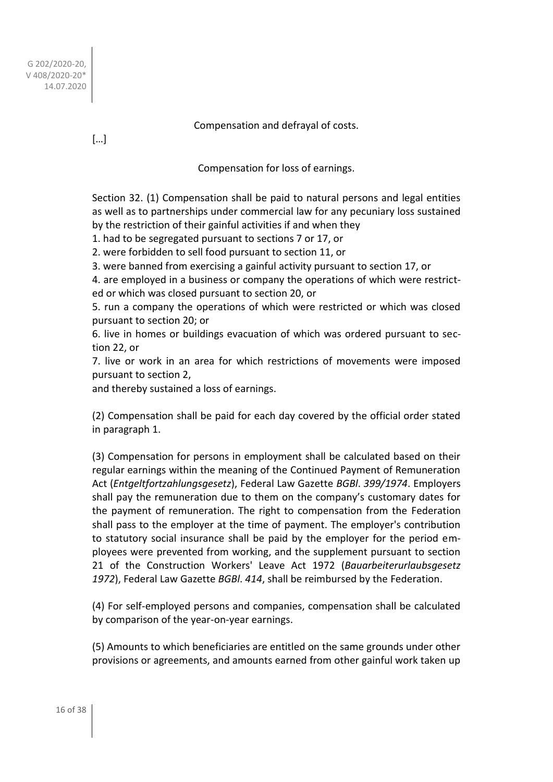Compensation and defrayal of costs.

[…]

Compensation for loss of earnings.

Section 32. (1) Compensation shall be paid to natural persons and legal entities as well as to partnerships under commercial law for any pecuniary loss sustained by the restriction of their gainful activities if and when they

1. had to be segregated pursuant to sections 7 or 17, or

2. were forbidden to sell food pursuant to section 11, or

3. were banned from exercising a gainful activity pursuant to section 17, or

4. are employed in a business or company the operations of which were restricted or which was closed pursuant to section 20, or

5. run a company the operations of which were restricted or which was closed pursuant to section 20; or

6. live in homes or buildings evacuation of which was ordered pursuant to section 22, or

7. live or work in an area for which restrictions of movements were imposed pursuant to section 2,

and thereby sustained a loss of earnings.

(2) Compensation shall be paid for each day covered by the official order stated in paragraph 1.

(3) Compensation for persons in employment shall be calculated based on their regular earnings within the meaning of the Continued Payment of Remuneration Act (*Entgeltfortzahlungsgesetz*), Federal Law Gazette *BGBl*. *399/1974*. Employers shall pay the remuneration due to them on the company's customary dates for the payment of remuneration. The right to compensation from the Federation shall pass to the employer at the time of payment. The employer's contribution to statutory social insurance shall be paid by the employer for the period employees were prevented from working, and the supplement pursuant to section 21 of the Construction Workers' Leave Act 1972 (*Bauarbeiterurlaubsgesetz 1972*), Federal Law Gazette *BGBl*. *414*, shall be reimbursed by the Federation.

(4) For self-employed persons and companies, compensation shall be calculated by comparison of the year-on-year earnings.

(5) Amounts to which beneficiaries are entitled on the same grounds under other provisions or agreements, and amounts earned from other gainful work taken up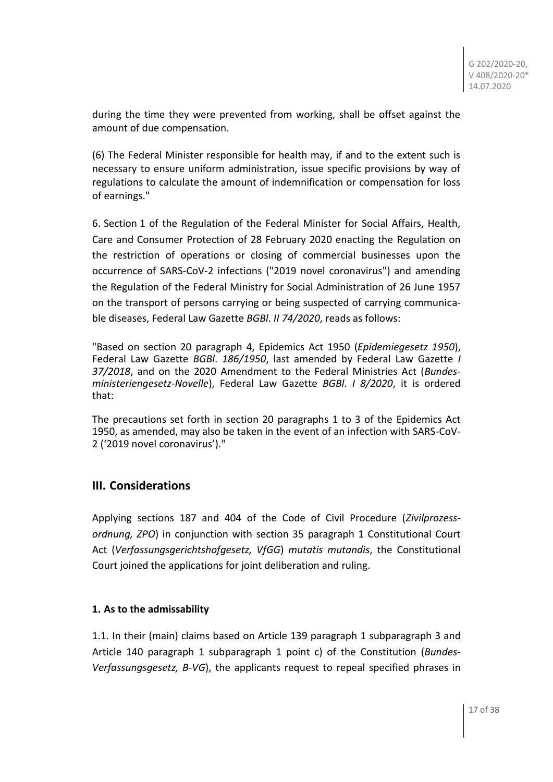during the time they were prevented from working, shall be offset against the amount of due compensation.

(6) The Federal Minister responsible for health may, if and to the extent such is necessary to ensure uniform administration, issue specific provisions by way of regulations to calculate the amount of indemnification or compensation for loss of earnings."

6. Section 1 of the Regulation of the Federal Minister for Social Affairs, Health, Care and Consumer Protection of 28 February 2020 enacting the Regulation on the restriction of operations or closing of commercial businesses upon the occurrence of SARS-CoV-2 infections ("2019 novel coronavirus") and amending the Regulation of the Federal Ministry for Social Administration of 26 June 1957 on the transport of persons carrying or being suspected of carrying communicable diseases, Federal Law Gazette *BGBl*. *II 74/2020*, reads as follows:

"Based on section 20 paragraph 4, Epidemics Act 1950 (*Epidemiegesetz 1950*), Federal Law Gazette *BGBl*. *186/1950*, last amended by Federal Law Gazette *I 37/2018*, and on the 2020 Amendment to the Federal Ministries Act (*Bundesministeriengesetz-Novelle*), Federal Law Gazette *BGBl*. *I 8/2020*, it is ordered that:

The precautions set forth in section 20 paragraphs 1 to 3 of the Epidemics Act 1950, as amended, may also be taken in the event of an infection with SARS-CoV-2 ('2019 novel coronavirus')."

# **III. Considerations**

Applying sections 187 and 404 of the Code of Civil Procedure (*Zivilprozessordnung, ZPO*) in conjunction with section 35 paragraph 1 Constitutional Court Act (*Verfassungsgerichtshofgesetz, VfGG*) *mutatis mutandis*, the Constitutional Court joined the applications for joint deliberation and ruling.

## **1. As to the admissability**

1.1. In their (main) claims based on Article 139 paragraph 1 subparagraph 3 and Article 140 paragraph 1 subparagraph 1 point c) of the Constitution (*Bundes-Verfassungsgesetz, B-VG*), the applicants request to repeal specified phrases in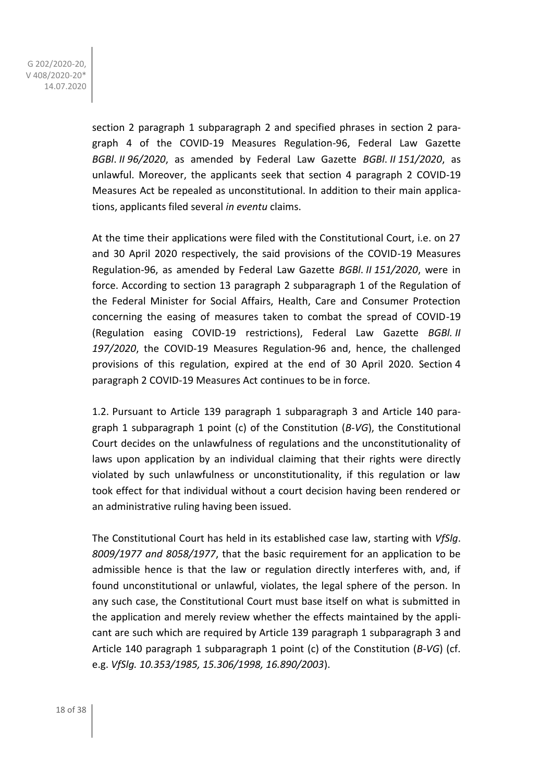> section 2 paragraph 1 subparagraph 2 and specified phrases in section 2 paragraph 4 of the COVID-19 Measures Regulation-96, Federal Law Gazette *BGBl*. *II 96/2020*, as amended by Federal Law Gazette *BGBl*. *II 151/2020*, as unlawful. Moreover, the applicants seek that section 4 paragraph 2 COVID-19 Measures Act be repealed as unconstitutional. In addition to their main applications, applicants filed several *in eventu* claims.

> At the time their applications were filed with the Constitutional Court, i.e. on 27 and 30 April 2020 respectively, the said provisions of the COVID-19 Measures Regulation-96, as amended by Federal Law Gazette *BGBl*. *II 151/2020*, were in force. According to section 13 paragraph 2 subparagraph 1 of the Regulation of the Federal Minister for Social Affairs, Health, Care and Consumer Protection concerning the easing of measures taken to combat the spread of COVID-19 (Regulation easing COVID-19 restrictions), Federal Law Gazette *BGBl. II 197/2020*, the COVID-19 Measures Regulation-96 and, hence, the challenged provisions of this regulation, expired at the end of 30 April 2020. Section 4 paragraph 2 COVID-19 Measures Act continues to be in force.

> 1.2. Pursuant to Article 139 paragraph 1 subparagraph 3 and Article 140 paragraph 1 subparagraph 1 point (c) of the Constitution (*B-VG*), the Constitutional Court decides on the unlawfulness of regulations and the unconstitutionality of laws upon application by an individual claiming that their rights were directly violated by such unlawfulness or unconstitutionality, if this regulation or law took effect for that individual without a court decision having been rendered or an administrative ruling having been issued.

> The Constitutional Court has held in its established case law, starting with *VfSlg*. *8009/1977 and 8058/1977*, that the basic requirement for an application to be admissible hence is that the law or regulation directly interferes with, and, if found unconstitutional or unlawful, violates, the legal sphere of the person. In any such case, the Constitutional Court must base itself on what is submitted in the application and merely review whether the effects maintained by the applicant are such which are required by Article 139 paragraph 1 subparagraph 3 and Article 140 paragraph 1 subparagraph 1 point (c) of the Constitution (*B-VG*) (cf. e.g. *VfSlg. 10.353/1985, 15.306/1998, 16.890/2003*).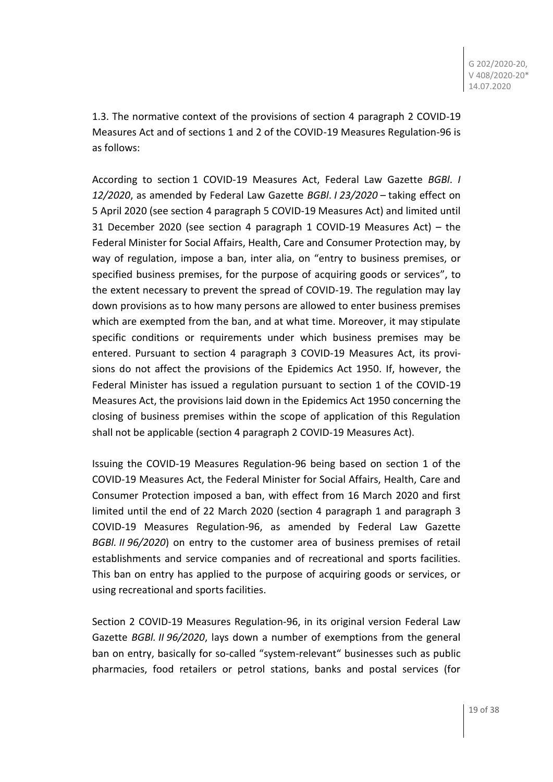1.3. The normative context of the provisions of section 4 paragraph 2 COVID-19 Measures Act and of sections 1 and 2 of the COVID-19 Measures Regulation-96 is as follows:

According to section 1 COVID-19 Measures Act, Federal Law Gazette *BGBl*. *I 12/2020*, as amended by Federal Law Gazette *BGBl*. *I 23/2020* – taking effect on 5 April 2020 (see section 4 paragraph 5 COVID-19 Measures Act) and limited until 31 December 2020 (see section 4 paragraph 1 COVID-19 Measures Act) – the Federal Minister for Social Affairs, Health, Care and Consumer Protection may, by way of regulation, impose a ban, inter alia, on "entry to business premises, or specified business premises, for the purpose of acquiring goods or services", to the extent necessary to prevent the spread of COVID-19. The regulation may lay down provisions as to how many persons are allowed to enter business premises which are exempted from the ban, and at what time. Moreover, it may stipulate specific conditions or requirements under which business premises may be entered. Pursuant to section 4 paragraph 3 COVID-19 Measures Act, its provisions do not affect the provisions of the Epidemics Act 1950. If, however, the Federal Minister has issued a regulation pursuant to section 1 of the COVID-19 Measures Act, the provisions laid down in the Epidemics Act 1950 concerning the closing of business premises within the scope of application of this Regulation shall not be applicable (section 4 paragraph 2 COVID-19 Measures Act).

Issuing the COVID-19 Measures Regulation-96 being based on section 1 of the COVID-19 Measures Act, the Federal Minister for Social Affairs, Health, Care and Consumer Protection imposed a ban, with effect from 16 March 2020 and first limited until the end of 22 March 2020 (section 4 paragraph 1 and paragraph 3 COVID-19 Measures Regulation-96, as amended by Federal Law Gazette *BGBl. II 96/2020*) on entry to the customer area of business premises of retail establishments and service companies and of recreational and sports facilities. This ban on entry has applied to the purpose of acquiring goods or services, or using recreational and sports facilities.

Section 2 COVID-19 Measures Regulation-96, in its original version Federal Law Gazette *BGBl. II 96/2020*, lays down a number of exemptions from the general ban on entry, basically for so-called "system-relevant" businesses such as public pharmacies, food retailers or petrol stations, banks and postal services (for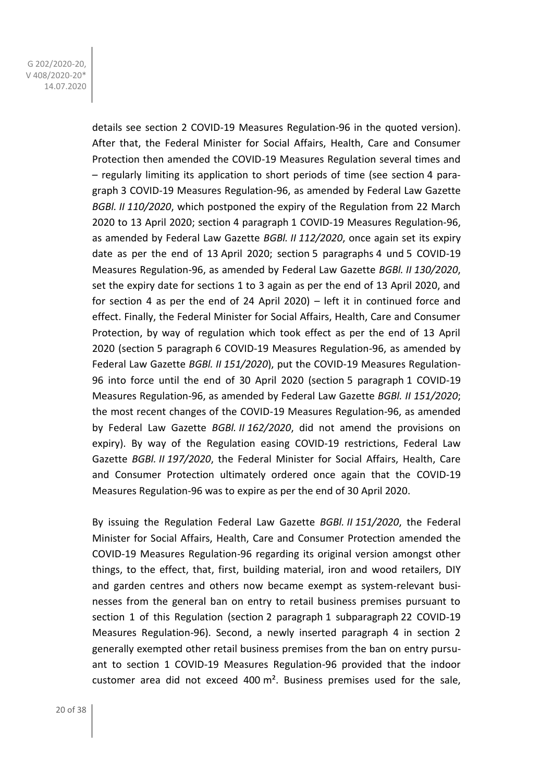> details see section 2 COVID-19 Measures Regulation-96 in the quoted version). After that, the Federal Minister for Social Affairs, Health, Care and Consumer Protection then amended the COVID-19 Measures Regulation several times and – regularly limiting its application to short periods of time (see section 4 paragraph 3 COVID-19 Measures Regulation-96, as amended by Federal Law Gazette *BGBl. II 110/2020*, which postponed the expiry of the Regulation from 22 March 2020 to 13 April 2020; section 4 paragraph 1 COVID-19 Measures Regulation-96, as amended by Federal Law Gazette *BGBl. II 112/2020*, once again set its expiry date as per the end of 13 April 2020; section 5 paragraphs 4 und 5 COVID-19 Measures Regulation-96, as amended by Federal Law Gazette *BGBl. II 130/2020*, set the expiry date for sections 1 to 3 again as per the end of 13 April 2020, and for section 4 as per the end of 24 April 2020) – left it in continued force and effect. Finally, the Federal Minister for Social Affairs, Health, Care and Consumer Protection, by way of regulation which took effect as per the end of 13 April 2020 (section 5 paragraph 6 COVID-19 Measures Regulation-96, as amended by Federal Law Gazette *BGBl. II 151/2020*), put the COVID-19 Measures Regulation-96 into force until the end of 30 April 2020 (section 5 paragraph 1 COVID-19 Measures Regulation-96, as amended by Federal Law Gazette *BGBl. II 151/2020*; the most recent changes of the COVID-19 Measures Regulation-96, as amended by Federal Law Gazette *BGBl. II 162/2020*, did not amend the provisions on expiry). By way of the Regulation easing COVID-19 restrictions, Federal Law Gazette *BGBl. II 197/2020*, the Federal Minister for Social Affairs, Health, Care and Consumer Protection ultimately ordered once again that the COVID-19 Measures Regulation-96 was to expire as per the end of 30 April 2020.

> By issuing the Regulation Federal Law Gazette *BGBl. II 151/2020*, the Federal Minister for Social Affairs, Health, Care and Consumer Protection amended the COVID-19 Measures Regulation-96 regarding its original version amongst other things, to the effect, that, first, building material, iron and wood retailers, DIY and garden centres and others now became exempt as system-relevant businesses from the general ban on entry to retail business premises pursuant to section 1 of this Regulation (section 2 paragraph 1 subparagraph 22 COVID-19 Measures Regulation-96). Second, a newly inserted paragraph 4 in section 2 generally exempted other retail business premises from the ban on entry pursuant to section 1 COVID-19 Measures Regulation-96 provided that the indoor customer area did not exceed 400 m². Business premises used for the sale,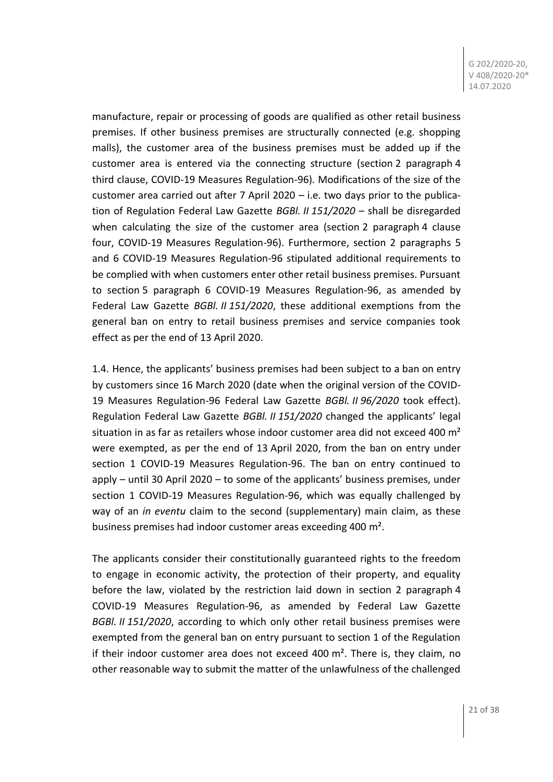manufacture, repair or processing of goods are qualified as other retail business premises. If other business premises are structurally connected (e.g. shopping malls), the customer area of the business premises must be added up if the customer area is entered via the connecting structure (section 2 paragraph 4 third clause, COVID-19 Measures Regulation-96). Modifications of the size of the customer area carried out after 7 April 2020 – i.e. two days prior to the publication of Regulation Federal Law Gazette *BGBl. II 151/2020* – shall be disregarded when calculating the size of the customer area (section 2 paragraph 4 clause four, COVID-19 Measures Regulation-96). Furthermore, section 2 paragraphs 5 and 6 COVID-19 Measures Regulation-96 stipulated additional requirements to be complied with when customers enter other retail business premises. Pursuant to section 5 paragraph 6 COVID-19 Measures Regulation-96, as amended by Federal Law Gazette *BGBl. II 151/2020*, these additional exemptions from the general ban on entry to retail business premises and service companies took effect as per the end of 13 April 2020.

1.4. Hence, the applicants' business premises had been subject to a ban on entry by customers since 16 March 2020 (date when the original version of the COVID-19 Measures Regulation-96 Federal Law Gazette *BGBl. II 96/2020* took effect). Regulation Federal Law Gazette *BGBl. II 151/2020* changed the applicants' legal situation in as far as retailers whose indoor customer area did not exceed 400  $m<sup>2</sup>$ were exempted, as per the end of 13 April 2020, from the ban on entry under section 1 COVID-19 Measures Regulation-96. The ban on entry continued to apply – until 30 April 2020 – to some of the applicants' business premises, under section 1 COVID-19 Measures Regulation-96, which was equally challenged by way of an *in eventu* claim to the second (supplementary) main claim, as these business premises had indoor customer areas exceeding 400 m².

The applicants consider their constitutionally guaranteed rights to the freedom to engage in economic activity, the protection of their property, and equality before the law, violated by the restriction laid down in section 2 paragraph 4 COVID-19 Measures Regulation-96, as amended by Federal Law Gazette *BGBl. II 151/2020*, according to which only other retail business premises were exempted from the general ban on entry pursuant to section 1 of the Regulation if their indoor customer area does not exceed 400  $m<sup>2</sup>$ . There is, they claim, no other reasonable way to submit the matter of the unlawfulness of the challenged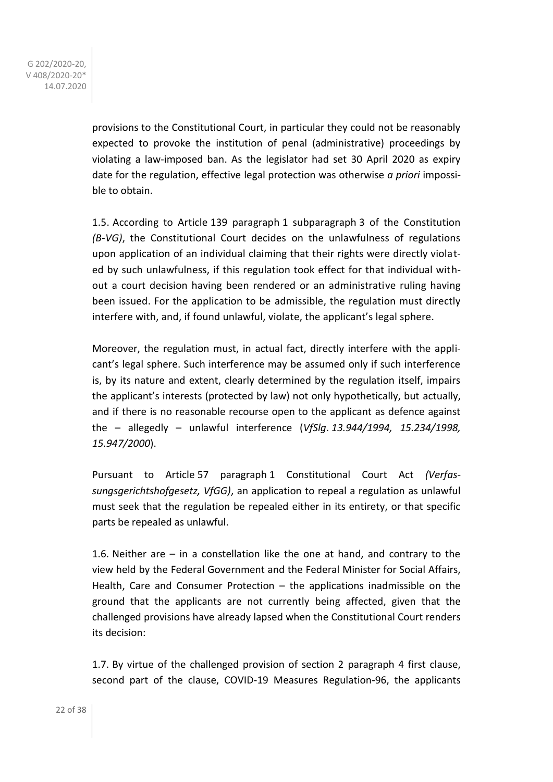> provisions to the Constitutional Court, in particular they could not be reasonably expected to provoke the institution of penal (administrative) proceedings by violating a law-imposed ban. As the legislator had set 30 April 2020 as expiry date for the regulation, effective legal protection was otherwise *a priori* impossible to obtain.

> 1.5. According to Article 139 paragraph 1 subparagraph 3 of the Constitution *(B-VG)*, the Constitutional Court decides on the unlawfulness of regulations upon application of an individual claiming that their rights were directly violated by such unlawfulness, if this regulation took effect for that individual without a court decision having been rendered or an administrative ruling having been issued. For the application to be admissible, the regulation must directly interfere with, and, if found unlawful, violate, the applicant's legal sphere.

> Moreover, the regulation must, in actual fact, directly interfere with the applicant's legal sphere. Such interference may be assumed only if such interference is, by its nature and extent, clearly determined by the regulation itself, impairs the applicant's interests (protected by law) not only hypothetically, but actually, and if there is no reasonable recourse open to the applicant as defence against the – allegedly – unlawful interference (*VfSlg*. *13.944/1994, 15.234/1998, 15.947/2000*).

> Pursuant to Article 57 paragraph 1 Constitutional Court Act *(Verfassungsgerichtshofgesetz, VfGG)*, an application to repeal a regulation as unlawful must seek that the regulation be repealed either in its entirety, or that specific parts be repealed as unlawful.

> 1.6. Neither are – in a constellation like the one at hand, and contrary to the view held by the Federal Government and the Federal Minister for Social Affairs, Health, Care and Consumer Protection – the applications inadmissible on the ground that the applicants are not currently being affected, given that the challenged provisions have already lapsed when the Constitutional Court renders its decision:

> 1.7. By virtue of the challenged provision of section 2 paragraph 4 first clause, second part of the clause, COVID-19 Measures Regulation-96, the applicants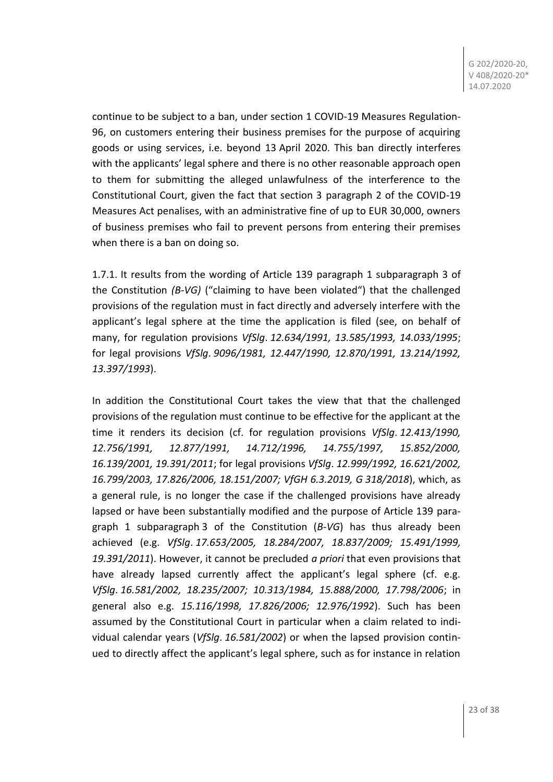continue to be subject to a ban, under section 1 COVID-19 Measures Regulation-96, on customers entering their business premises for the purpose of acquiring goods or using services, i.e. beyond 13 April 2020. This ban directly interferes with the applicants' legal sphere and there is no other reasonable approach open to them for submitting the alleged unlawfulness of the interference to the Constitutional Court, given the fact that section 3 paragraph 2 of the COVID-19 Measures Act penalises, with an administrative fine of up to EUR 30,000, owners of business premises who fail to prevent persons from entering their premises when there is a ban on doing so.

1.7.1. It results from the wording of Article 139 paragraph 1 subparagraph 3 of the Constitution *(B-VG)* ("claiming to have been violated") that the challenged provisions of the regulation must in fact directly and adversely interfere with the applicant's legal sphere at the time the application is filed (see, on behalf of many, for regulation provisions *VfSlg*. *12.634/1991, 13.585/1993, 14.033/1995*; for legal provisions *VfSlg*. *9096/1981, 12.447/1990, 12.870/1991, 13.214/1992, 13.397/1993*).

In addition the Constitutional Court takes the view that that the challenged provisions of the regulation must continue to be effective for the applicant at the time it renders its decision (cf. for regulation provisions *VfSlg*. *12.413/1990, 12.756/1991, 12.877/1991, 14.712/1996, 14.755/1997, 15.852/2000, 16.139/2001, 19.391/2011*; for legal provisions *VfSlg*. *12.999/1992, 16.621/2002, 16.799/2003, 17.826/2006, 18.151/2007; VfGH 6.3.2019, G 318/2018*), which, as a general rule, is no longer the case if the challenged provisions have already lapsed or have been substantially modified and the purpose of Article 139 paragraph 1 subparagraph 3 of the Constitution (*B-VG*) has thus already been achieved (e.g. *VfSlg*. *17.653/2005, 18.284/2007, 18.837/2009; 15.491/1999, 19.391/2011*). However, it cannot be precluded *a priori* that even provisions that have already lapsed currently affect the applicant's legal sphere (cf. e.g. *VfSlg*. *16.581/2002, 18.235/2007; 10.313/1984, 15.888/2000, 17.798/2006*; in general also e.g. *15.116/1998, 17.826/2006; 12.976/1992*). Such has been assumed by the Constitutional Court in particular when a claim related to individual calendar years (*VfSlg*. *16.581/2002*) or when the lapsed provision continued to directly affect the applicant's legal sphere, such as for instance in relation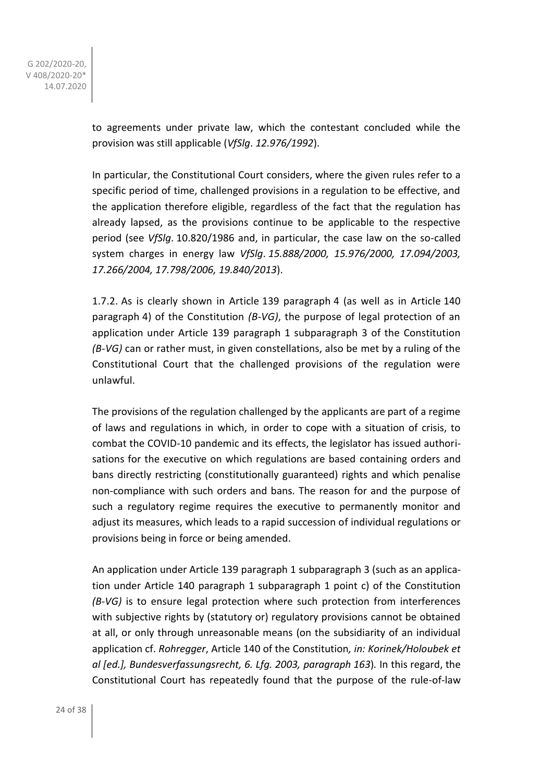> to agreements under private law, which the contestant concluded while the provision was still applicable (*VfSlg*. *12.976/1992*).

> In particular, the Constitutional Court considers, where the given rules refer to a specific period of time, challenged provisions in a regulation to be effective, and the application therefore eligible, regardless of the fact that the regulation has already lapsed, as the provisions continue to be applicable to the respective period (see *VfSlg*. 10.820/1986 and, in particular, the case law on the so-called system charges in energy law *VfSlg*. *15.888/2000, 15.976/2000, 17.094/2003, 17.266/2004, 17.798/2006, 19.840/2013*).

> 1.7.2. As is clearly shown in Article 139 paragraph 4 (as well as in Article 140 paragraph 4) of the Constitution *(B-VG)*, the purpose of legal protection of an application under Article 139 paragraph 1 subparagraph 3 of the Constitution *(B-VG)* can or rather must, in given constellations, also be met by a ruling of the Constitutional Court that the challenged provisions of the regulation were unlawful.

> The provisions of the regulation challenged by the applicants are part of a regime of laws and regulations in which, in order to cope with a situation of crisis, to combat the COVID-10 pandemic and its effects, the legislator has issued authorisations for the executive on which regulations are based containing orders and bans directly restricting (constitutionally guaranteed) rights and which penalise non-compliance with such orders and bans. The reason for and the purpose of such a regulatory regime requires the executive to permanently monitor and adjust its measures, which leads to a rapid succession of individual regulations or provisions being in force or being amended.

> An application under Article 139 paragraph 1 subparagraph 3 (such as an application under Article 140 paragraph 1 subparagraph 1 point c) of the Constitution *(B-VG)* is to ensure legal protection where such protection from interferences with subjective rights by (statutory or) regulatory provisions cannot be obtained at all, or only through unreasonable means (on the subsidiarity of an individual application cf. *Rohregger*, Article 140 of the Constitution*, in: Korinek/Holoubek et al [ed.], Bundesverfassungsrecht, 6. Lfg. 2003, paragraph 163*)*.* In this regard, the Constitutional Court has repeatedly found that the purpose of the rule-of-law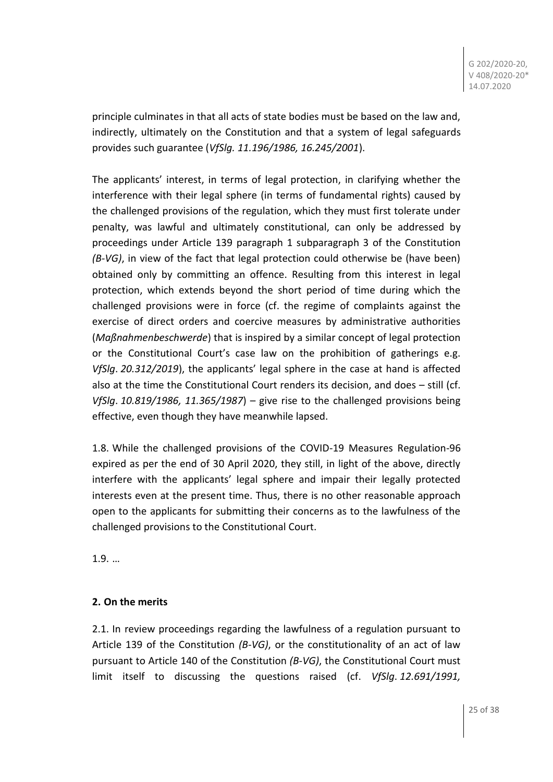principle culminates in that all acts of state bodies must be based on the law and, indirectly, ultimately on the Constitution and that a system of legal safeguards provides such guarantee (*VfSlg. 11.196/1986, 16.245/2001*).

The applicants' interest, in terms of legal protection, in clarifying whether the interference with their legal sphere (in terms of fundamental rights) caused by the challenged provisions of the regulation, which they must first tolerate under penalty, was lawful and ultimately constitutional, can only be addressed by proceedings under Article 139 paragraph 1 subparagraph 3 of the Constitution *(B-VG)*, in view of the fact that legal protection could otherwise be (have been) obtained only by committing an offence. Resulting from this interest in legal protection, which extends beyond the short period of time during which the challenged provisions were in force (cf. the regime of complaints against the exercise of direct orders and coercive measures by administrative authorities (*Maßnahmenbeschwerde*) that is inspired by a similar concept of legal protection or the Constitutional Court's case law on the prohibition of gatherings e.g. *VfSlg*. *20.312/2019*), the applicants' legal sphere in the case at hand is affected also at the time the Constitutional Court renders its decision, and does – still (cf. *VfSlg*. *10.819/1986, 11.365/1987*) – give rise to the challenged provisions being effective, even though they have meanwhile lapsed.

1.8. While the challenged provisions of the COVID-19 Measures Regulation-96 expired as per the end of 30 April 2020, they still, in light of the above, directly interfere with the applicants' legal sphere and impair their legally protected interests even at the present time. Thus, there is no other reasonable approach open to the applicants for submitting their concerns as to the lawfulness of the challenged provisions to the Constitutional Court.

1.9. …

## **2. On the merits**

2.1. In review proceedings regarding the lawfulness of a regulation pursuant to Article 139 of the Constitution *(B-VG)*, or the constitutionality of an act of law pursuant to Article 140 of the Constitution *(B-VG)*, the Constitutional Court must limit itself to discussing the questions raised (cf. *VfSlg*. *12.691/1991,*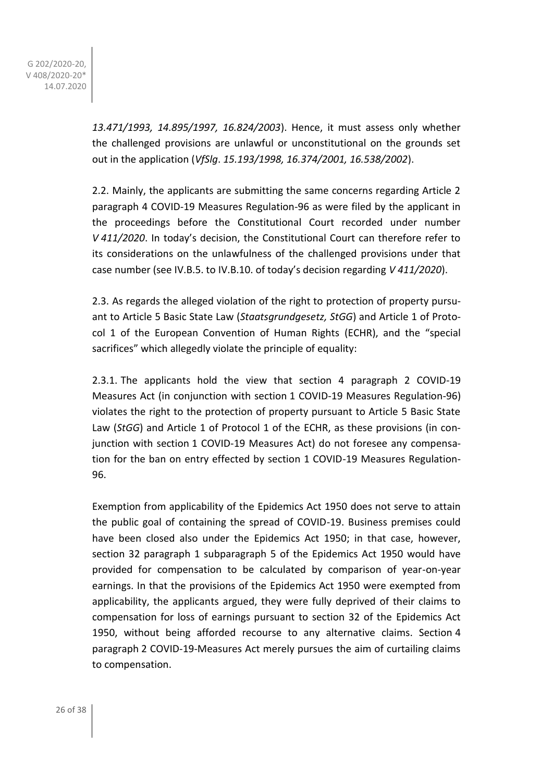> *13.471/1993, 14.895/1997, 16.824/2003*). Hence, it must assess only whether the challenged provisions are unlawful or unconstitutional on the grounds set out in the application (*VfSlg*. *15.193/1998, 16.374/2001, 16.538/2002*).

> 2.2. Mainly, the applicants are submitting the same concerns regarding Article 2 paragraph 4 COVID-19 Measures Regulation-96 as were filed by the applicant in the proceedings before the Constitutional Court recorded under number *V 411/2020*. In today's decision, the Constitutional Court can therefore refer to its considerations on the unlawfulness of the challenged provisions under that case number (see IV.B.5. to IV.B.10. of today's decision regarding *V 411/2020*).

> 2.3. As regards the alleged violation of the right to protection of property pursuant to Article 5 Basic State Law (*Staatsgrundgesetz, StGG*) and Article 1 of Protocol 1 of the European Convention of Human Rights (ECHR), and the "special sacrifices" which allegedly violate the principle of equality:

> 2.3.1. The applicants hold the view that section 4 paragraph 2 COVID-19 Measures Act (in conjunction with section 1 COVID-19 Measures Regulation-96) violates the right to the protection of property pursuant to Article 5 Basic State Law (*StGG*) and Article 1 of Protocol 1 of the ECHR, as these provisions (in conjunction with section 1 COVID-19 Measures Act) do not foresee any compensation for the ban on entry effected by section 1 COVID-19 Measures Regulation-96.

> Exemption from applicability of the Epidemics Act 1950 does not serve to attain the public goal of containing the spread of COVID-19. Business premises could have been closed also under the Epidemics Act 1950; in that case, however, section 32 paragraph 1 subparagraph 5 of the Epidemics Act 1950 would have provided for compensation to be calculated by comparison of year-on-year earnings. In that the provisions of the Epidemics Act 1950 were exempted from applicability, the applicants argued, they were fully deprived of their claims to compensation for loss of earnings pursuant to section 32 of the Epidemics Act 1950, without being afforded recourse to any alternative claims. Section 4 paragraph 2 COVID-19-Measures Act merely pursues the aim of curtailing claims to compensation.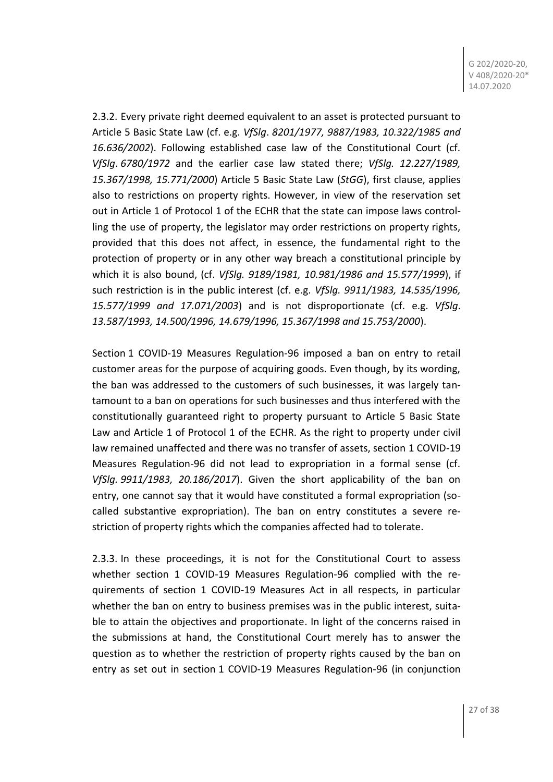2.3.2. Every private right deemed equivalent to an asset is protected pursuant to Article 5 Basic State Law (cf. e.g. *VfSlg*. *8201/1977, 9887/1983, 10.322/1985 and 16.636/2002*). Following established case law of the Constitutional Court (cf. *VfSlg*. *6780/1972* and the earlier case law stated there; *VfSlg. 12.227/1989, 15.367/1998, 15.771/2000*) Article 5 Basic State Law (*StGG*), first clause, applies also to restrictions on property rights. However, in view of the reservation set out in Article 1 of Protocol 1 of the ECHR that the state can impose laws controlling the use of property, the legislator may order restrictions on property rights, provided that this does not affect, in essence, the fundamental right to the protection of property or in any other way breach a constitutional principle by which it is also bound, (cf. *VfSlg. 9189/1981, 10.981/1986 and 15.577/1999*), if such restriction is in the public interest (cf. e.g. *VfSlg. 9911/1983, 14.535/1996, 15.577/1999 and 17.071/2003*) and is not disproportionate (cf. e.g. *VfSlg*. *13.587/1993, 14.500/1996, 14.679/1996, 15.367/1998 and 15.753/2000*).

Section 1 COVID-19 Measures Regulation-96 imposed a ban on entry to retail customer areas for the purpose of acquiring goods. Even though, by its wording, the ban was addressed to the customers of such businesses, it was largely tantamount to a ban on operations for such businesses and thus interfered with the constitutionally guaranteed right to property pursuant to Article 5 Basic State Law and Article 1 of Protocol 1 of the ECHR. As the right to property under civil law remained unaffected and there was no transfer of assets, section 1 COVID-19 Measures Regulation-96 did not lead to expropriation in a formal sense (cf. *VfSlg. 9911/1983, 20.186/2017*). Given the short applicability of the ban on entry, one cannot say that it would have constituted a formal expropriation (socalled substantive expropriation). The ban on entry constitutes a severe restriction of property rights which the companies affected had to tolerate.

2.3.3. In these proceedings, it is not for the Constitutional Court to assess whether section 1 COVID-19 Measures Regulation-96 complied with the requirements of section 1 COVID-19 Measures Act in all respects, in particular whether the ban on entry to business premises was in the public interest, suitable to attain the objectives and proportionate. In light of the concerns raised in the submissions at hand, the Constitutional Court merely has to answer the question as to whether the restriction of property rights caused by the ban on entry as set out in section 1 COVID-19 Measures Regulation-96 (in conjunction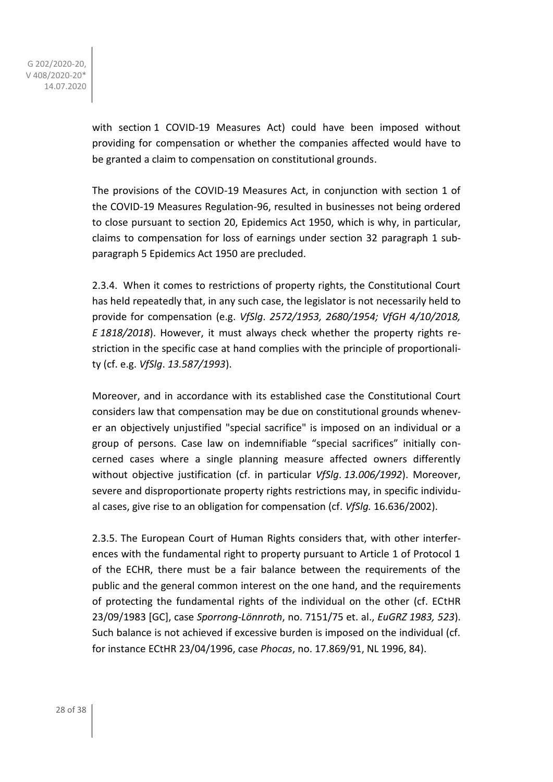with section 1 COVID-19 Measures Act) could have been imposed without providing for compensation or whether the companies affected would have to be granted a claim to compensation on constitutional grounds.

The provisions of the COVID-19 Measures Act, in conjunction with section 1 of the COVID-19 Measures Regulation-96, resulted in businesses not being ordered to close pursuant to section 20, Epidemics Act 1950, which is why, in particular, claims to compensation for loss of earnings under section 32 paragraph 1 subparagraph 5 Epidemics Act 1950 are precluded.

2.3.4. When it comes to restrictions of property rights, the Constitutional Court has held repeatedly that, in any such case, the legislator is not necessarily held to provide for compensation (e.g. *VfSlg*. *2572/1953, 2680/1954; VfGH 4/10/2018, E 1818/2018*). However, it must always check whether the property rights restriction in the specific case at hand complies with the principle of proportionality (cf. e.g. *VfSlg*. *13.587/1993*).

Moreover, and in accordance with its established case the Constitutional Court considers law that compensation may be due on constitutional grounds whenever an objectively unjustified "special sacrifice" is imposed on an individual or a group of persons. Case law on indemnifiable "special sacrifices" initially concerned cases where a single planning measure affected owners differently without objective justification (cf. in particular *VfSlg*. *13.006/1992*). Moreover, severe and disproportionate property rights restrictions may, in specific individual cases, give rise to an obligation for compensation (cf. *VfSlg.* 16.636/2002).

2.3.5. The European Court of Human Rights considers that, with other interferences with the fundamental right to property pursuant to Article 1 of Protocol 1 of the ECHR, there must be a fair balance between the requirements of the public and the general common interest on the one hand, and the requirements of protecting the fundamental rights of the individual on the other (cf. ECtHR 23/09/1983 [GC], case *Sporrong-Lönnroth*, no. 7151/75 et. al., *EuGRZ 1983, 523*). Such balance is not achieved if excessive burden is imposed on the individual (cf. for instance ECtHR 23/04/1996, case *Phocas*, no. 17.869/91, NL 1996, 84).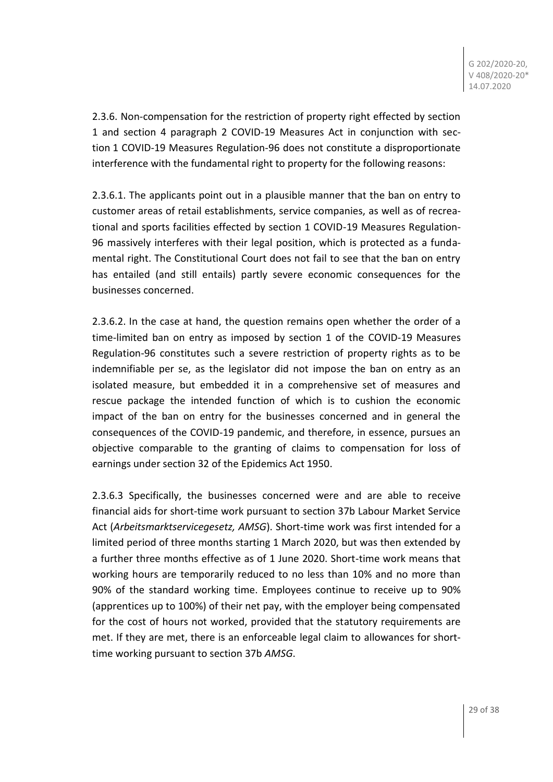2.3.6. Non-compensation for the restriction of property right effected by section 1 and section 4 paragraph 2 COVID-19 Measures Act in conjunction with section 1 COVID-19 Measures Regulation-96 does not constitute a disproportionate interference with the fundamental right to property for the following reasons:

2.3.6.1. The applicants point out in a plausible manner that the ban on entry to customer areas of retail establishments, service companies, as well as of recreational and sports facilities effected by section 1 COVID-19 Measures Regulation-96 massively interferes with their legal position, which is protected as a fundamental right. The Constitutional Court does not fail to see that the ban on entry has entailed (and still entails) partly severe economic consequences for the businesses concerned.

2.3.6.2. In the case at hand, the question remains open whether the order of a time-limited ban on entry as imposed by section 1 of the COVID-19 Measures Regulation-96 constitutes such a severe restriction of property rights as to be indemnifiable per se, as the legislator did not impose the ban on entry as an isolated measure, but embedded it in a comprehensive set of measures and rescue package the intended function of which is to cushion the economic impact of the ban on entry for the businesses concerned and in general the consequences of the COVID-19 pandemic, and therefore, in essence, pursues an objective comparable to the granting of claims to compensation for loss of earnings under section 32 of the Epidemics Act 1950.

2.3.6.3 Specifically, the businesses concerned were and are able to receive financial aids for short-time work pursuant to section 37b Labour Market Service Act (*Arbeitsmarktservicegesetz, AMSG*). Short-time work was first intended for a limited period of three months starting 1 March 2020, but was then extended by a further three months effective as of 1 June 2020. Short-time work means that working hours are temporarily reduced to no less than 10% and no more than 90% of the standard working time. Employees continue to receive up to 90% (apprentices up to 100%) of their net pay, with the employer being compensated for the cost of hours not worked, provided that the statutory requirements are met. If they are met, there is an enforceable legal claim to allowances for shorttime working pursuant to section 37b *AMSG*.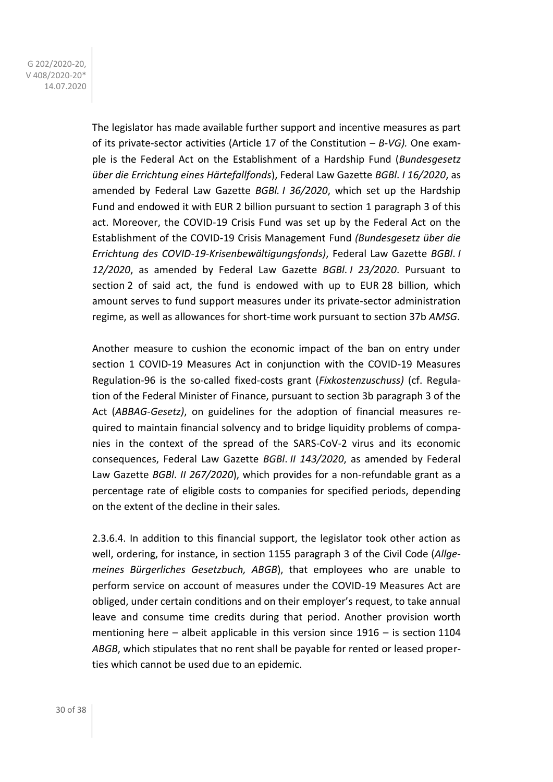The legislator has made available further support and incentive measures as part of its private-sector activities (Article 17 of the Constitution *– B-VG).* One example is the Federal Act on the Establishment of a Hardship Fund (*Bundesgesetz über die Errichtung eines Härtefallfonds*), Federal Law Gazette *BGBl*. *I 16/2020*, as amended by Federal Law Gazette *BGBl. I 36/2020*, which set up the Hardship Fund and endowed it with EUR 2 billion pursuant to section 1 paragraph 3 of this act. Moreover, the COVID-19 Crisis Fund was set up by the Federal Act on the Establishment of the COVID-19 Crisis Management Fund *(Bundesgesetz über die Errichtung des COVID-19-Krisenbewältigungsfonds)*, Federal Law Gazette *BGBl*. *I 12/2020*, as amended by Federal Law Gazette *BGBl*. *I 23/2020*. Pursuant to section 2 of said act, the fund is endowed with up to EUR 28 billion, which amount serves to fund support measures under its private-sector administration regime, as well as allowances for short-time work pursuant to section 37b *AMSG*.

Another measure to cushion the economic impact of the ban on entry under section 1 COVID-19 Measures Act in conjunction with the COVID-19 Measures Regulation-96 is the so-called fixed-costs grant (*Fixkostenzuschuss)* (cf. Regulation of the Federal Minister of Finance, pursuant to section 3b paragraph 3 of the Act (*ABBAG-Gesetz)*, on guidelines for the adoption of financial measures required to maintain financial solvency and to bridge liquidity problems of companies in the context of the spread of the SARS-CoV-2 virus and its economic consequences, Federal Law Gazette *BGBl*. *II 143/2020*, as amended by Federal Law Gazette *BGBl*. *II 267/2020*), which provides for a non-refundable grant as a percentage rate of eligible costs to companies for specified periods, depending on the extent of the decline in their sales.

2.3.6.4. In addition to this financial support, the legislator took other action as well, ordering, for instance, in section 1155 paragraph 3 of the Civil Code (*Allgemeines Bürgerliches Gesetzbuch, ABGB*), that employees who are unable to perform service on account of measures under the COVID-19 Measures Act are obliged, under certain conditions and on their employer's request, to take annual leave and consume time credits during that period. Another provision worth mentioning here – albeit applicable in this version since 1916 – is section 1104 *ABGB*, which stipulates that no rent shall be payable for rented or leased properties which cannot be used due to an epidemic.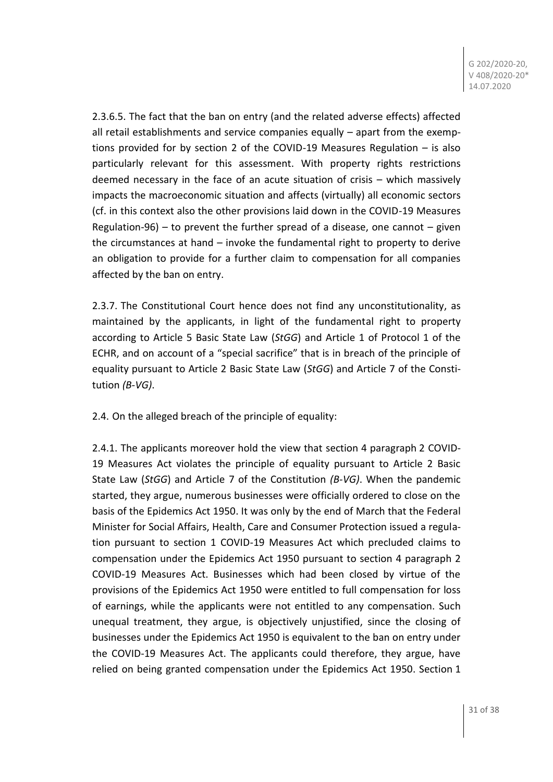2.3.6.5. The fact that the ban on entry (and the related adverse effects) affected all retail establishments and service companies equally – apart from the exemptions provided for by section 2 of the COVID-19 Measures Regulation – is also particularly relevant for this assessment. With property rights restrictions deemed necessary in the face of an acute situation of crisis – which massively impacts the macroeconomic situation and affects (virtually) all economic sectors (cf. in this context also the other provisions laid down in the COVID-19 Measures Regulation-96) – to prevent the further spread of a disease, one cannot  $-$  given the circumstances at hand – invoke the fundamental right to property to derive an obligation to provide for a further claim to compensation for all companies affected by the ban on entry.

2.3.7. The Constitutional Court hence does not find any unconstitutionality, as maintained by the applicants, in light of the fundamental right to property according to Article 5 Basic State Law (*StGG*) and Article 1 of Protocol 1 of the ECHR, and on account of a "special sacrifice" that is in breach of the principle of equality pursuant to Article 2 Basic State Law (*StGG*) and Article 7 of the Constitution *(B-VG)*.

2.4. On the alleged breach of the principle of equality:

2.4.1. The applicants moreover hold the view that section 4 paragraph 2 COVID-19 Measures Act violates the principle of equality pursuant to Article 2 Basic State Law (*StGG*) and Article 7 of the Constitution *(B-VG)*. When the pandemic started, they argue, numerous businesses were officially ordered to close on the basis of the Epidemics Act 1950. It was only by the end of March that the Federal Minister for Social Affairs, Health, Care and Consumer Protection issued a regulation pursuant to section 1 COVID-19 Measures Act which precluded claims to compensation under the Epidemics Act 1950 pursuant to section 4 paragraph 2 COVID-19 Measures Act. Businesses which had been closed by virtue of the provisions of the Epidemics Act 1950 were entitled to full compensation for loss of earnings, while the applicants were not entitled to any compensation. Such unequal treatment, they argue, is objectively unjustified, since the closing of businesses under the Epidemics Act 1950 is equivalent to the ban on entry under the COVID-19 Measures Act. The applicants could therefore, they argue, have relied on being granted compensation under the Epidemics Act 1950. Section 1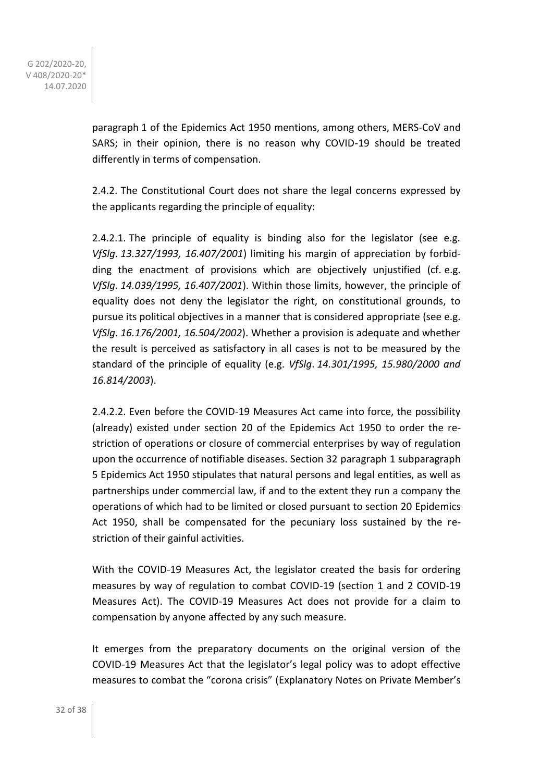paragraph 1 of the Epidemics Act 1950 mentions, among others, MERS-CoV and SARS; in their opinion, there is no reason why COVID-19 should be treated differently in terms of compensation.

2.4.2. The Constitutional Court does not share the legal concerns expressed by the applicants regarding the principle of equality:

2.4.2.1. The principle of equality is binding also for the legislator (see e.g. *VfSlg*. *13.327/1993, 16.407/2001*) limiting his margin of appreciation by forbidding the enactment of provisions which are objectively unjustified (cf. e.g. *VfSlg*. *14.039/1995, 16.407/2001*). Within those limits, however, the principle of equality does not deny the legislator the right, on constitutional grounds, to pursue its political objectives in a manner that is considered appropriate (see e.g. *VfSlg*. *16.176/2001, 16.504/2002*). Whether a provision is adequate and whether the result is perceived as satisfactory in all cases is not to be measured by the standard of the principle of equality (e.g. *VfSlg*. *14.301/1995, 15.980/2000 and 16.814/2003*).

2.4.2.2. Even before the COVID-19 Measures Act came into force, the possibility (already) existed under section 20 of the Epidemics Act 1950 to order the restriction of operations or closure of commercial enterprises by way of regulation upon the occurrence of notifiable diseases. Section 32 paragraph 1 subparagraph 5 Epidemics Act 1950 stipulates that natural persons and legal entities, as well as partnerships under commercial law, if and to the extent they run a company the operations of which had to be limited or closed pursuant to section 20 Epidemics Act 1950, shall be compensated for the pecuniary loss sustained by the restriction of their gainful activities.

With the COVID-19 Measures Act, the legislator created the basis for ordering measures by way of regulation to combat COVID-19 (section 1 and 2 COVID-19 Measures Act). The COVID-19 Measures Act does not provide for a claim to compensation by anyone affected by any such measure.

It emerges from the preparatory documents on the original version of the COVID-19 Measures Act that the legislator's legal policy was to adopt effective measures to combat the "corona crisis" (Explanatory Notes on Private Member's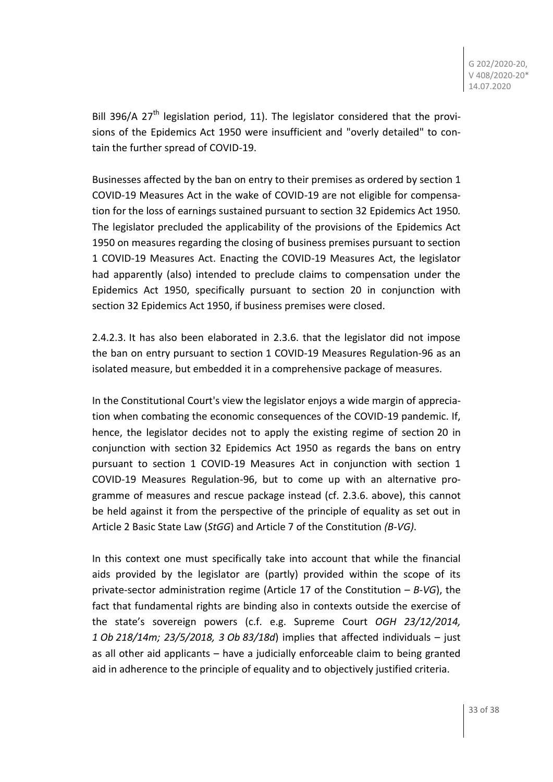Bill 396/A 27<sup>th</sup> legislation period, 11). The legislator considered that the provisions of the Epidemics Act 1950 were insufficient and "overly detailed" to contain the further spread of COVID-19.

Businesses affected by the ban on entry to their premises as ordered by section 1 COVID-19 Measures Act in the wake of COVID-19 are not eligible for compensation for the loss of earnings sustained pursuant to section 32 Epidemics Act 1950*.* The legislator precluded the applicability of the provisions of the Epidemics Act 1950 on measures regarding the closing of business premises pursuant to section 1 COVID-19 Measures Act. Enacting the COVID-19 Measures Act, the legislator had apparently (also) intended to preclude claims to compensation under the Epidemics Act 1950, specifically pursuant to section 20 in conjunction with section 32 Epidemics Act 1950, if business premises were closed.

2.4.2.3. It has also been elaborated in 2.3.6. that the legislator did not impose the ban on entry pursuant to section 1 COVID-19 Measures Regulation-96 as an isolated measure, but embedded it in a comprehensive package of measures.

In the Constitutional Court's view the legislator enjoys a wide margin of appreciation when combating the economic consequences of the COVID-19 pandemic. If, hence, the legislator decides not to apply the existing regime of section 20 in conjunction with section 32 Epidemics Act 1950 as regards the bans on entry pursuant to section 1 COVID-19 Measures Act in conjunction with section 1 COVID-19 Measures Regulation-96, but to come up with an alternative programme of measures and rescue package instead (cf. 2.3.6. above), this cannot be held against it from the perspective of the principle of equality as set out in Article 2 Basic State Law (*StGG*) and Article 7 of the Constitution *(B-VG)*.

In this context one must specifically take into account that while the financial aids provided by the legislator are (partly) provided within the scope of its private-sector administration regime (Article 17 of the Constitution – *B-VG*), the fact that fundamental rights are binding also in contexts outside the exercise of the state's sovereign powers (c.f. e.g. Supreme Court *OGH 23/12/2014, 1 Ob 218/14m; 23/5/2018, 3 Ob 83/18d*) implies that affected individuals – just as all other aid applicants – have a judicially enforceable claim to being granted aid in adherence to the principle of equality and to objectively justified criteria.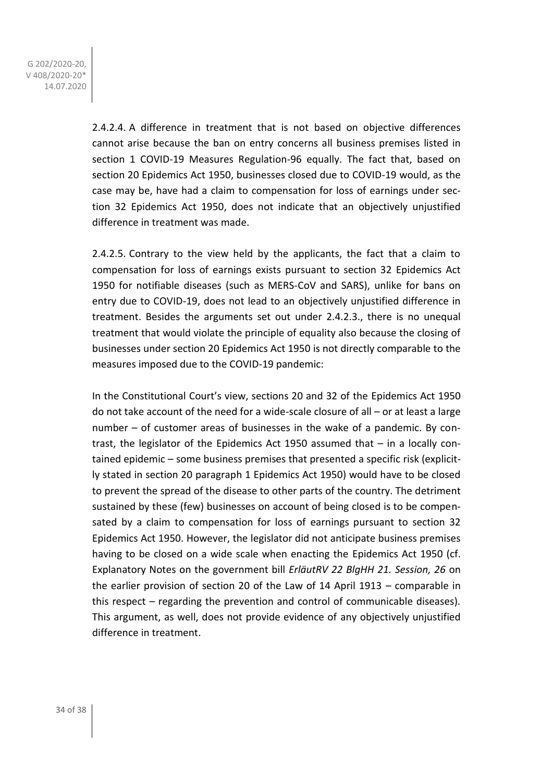> 2.4.2.4. A difference in treatment that is not based on objective differences cannot arise because the ban on entry concerns all business premises listed in section 1 COVID-19 Measures Regulation-96 equally. The fact that, based on section 20 Epidemics Act 1950, businesses closed due to COVID-19 would, as the case may be, have had a claim to compensation for loss of earnings under section 32 Epidemics Act 1950, does not indicate that an objectively unjustified difference in treatment was made.

> 2.4.2.5. Contrary to the view held by the applicants, the fact that a claim to compensation for loss of earnings exists pursuant to section 32 Epidemics Act 1950 for notifiable diseases (such as MERS-CoV and SARS), unlike for bans on entry due to COVID-19, does not lead to an objectively unjustified difference in treatment. Besides the arguments set out under 2.4.2.3., there is no unequal treatment that would violate the principle of equality also because the closing of businesses under section 20 Epidemics Act 1950 is not directly comparable to the measures imposed due to the COVID-19 pandemic:

> In the Constitutional Court's view, sections 20 and 32 of the Epidemics Act 1950 do not take account of the need for a wide-scale closure of all – or at least a large number – of customer areas of businesses in the wake of a pandemic. By contrast, the legislator of the Epidemics Act 1950 assumed that – in a locally contained epidemic – some business premises that presented a specific risk (explicitly stated in section 20 paragraph 1 Epidemics Act 1950) would have to be closed to prevent the spread of the disease to other parts of the country. The detriment sustained by these (few) businesses on account of being closed is to be compensated by a claim to compensation for loss of earnings pursuant to section 32 Epidemics Act 1950. However, the legislator did not anticipate business premises having to be closed on a wide scale when enacting the Epidemics Act 1950 (cf. Explanatory Notes on the government bill *ErläutRV 22 BlgHH 21. Session, 26* on the earlier provision of section 20 of the Law of 14 April 1913 – comparable in this respect – regarding the prevention and control of communicable diseases). This argument, as well, does not provide evidence of any objectively unjustified difference in treatment.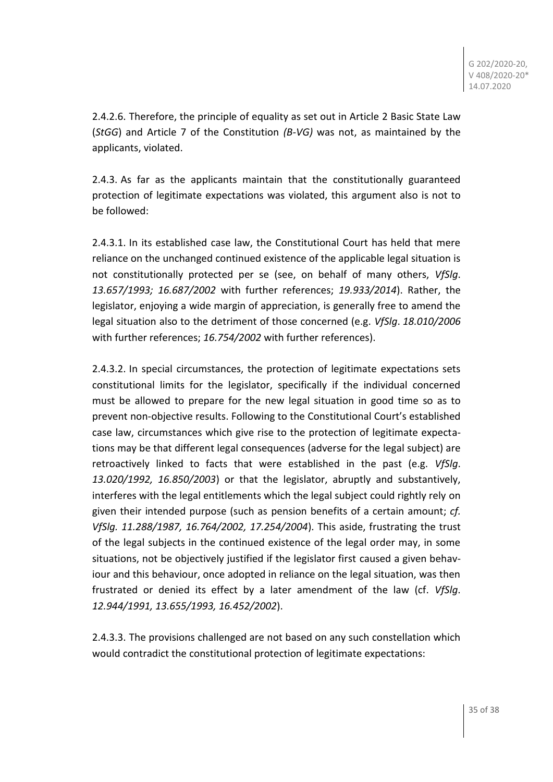2.4.2.6. Therefore, the principle of equality as set out in Article 2 Basic State Law (*StGG*) and Article 7 of the Constitution *(B-VG)* was not, as maintained by the applicants, violated.

2.4.3. As far as the applicants maintain that the constitutionally guaranteed protection of legitimate expectations was violated, this argument also is not to be followed:

2.4.3.1. In its established case law, the Constitutional Court has held that mere reliance on the unchanged continued existence of the applicable legal situation is not constitutionally protected per se (see, on behalf of many others, *VfSlg*. *13.657/1993; 16.687/2002* with further references; *19.933/2014*). Rather, the legislator, enjoying a wide margin of appreciation, is generally free to amend the legal situation also to the detriment of those concerned (e.g. *VfSlg*. *18.010/2006* with further references; *16.754/2002* with further references).

2.4.3.2. In special circumstances, the protection of legitimate expectations sets constitutional limits for the legislator, specifically if the individual concerned must be allowed to prepare for the new legal situation in good time so as to prevent non-objective results. Following to the Constitutional Court's established case law, circumstances which give rise to the protection of legitimate expectations may be that different legal consequences (adverse for the legal subject) are retroactively linked to facts that were established in the past (e.g. *VfSlg*. *13.020/1992, 16.850/2003*) or that the legislator, abruptly and substantively, interferes with the legal entitlements which the legal subject could rightly rely on given their intended purpose (such as pension benefits of a certain amount; *cf. VfSlg. 11.288/1987, 16.764/2002, 17.254/2004*). This aside, frustrating the trust of the legal subjects in the continued existence of the legal order may, in some situations, not be objectively justified if the legislator first caused a given behaviour and this behaviour, once adopted in reliance on the legal situation, was then frustrated or denied its effect by a later amendment of the law (cf. *VfSlg*. *12.944/1991, 13.655/1993, 16.452/2002*).

2.4.3.3. The provisions challenged are not based on any such constellation which would contradict the constitutional protection of legitimate expectations: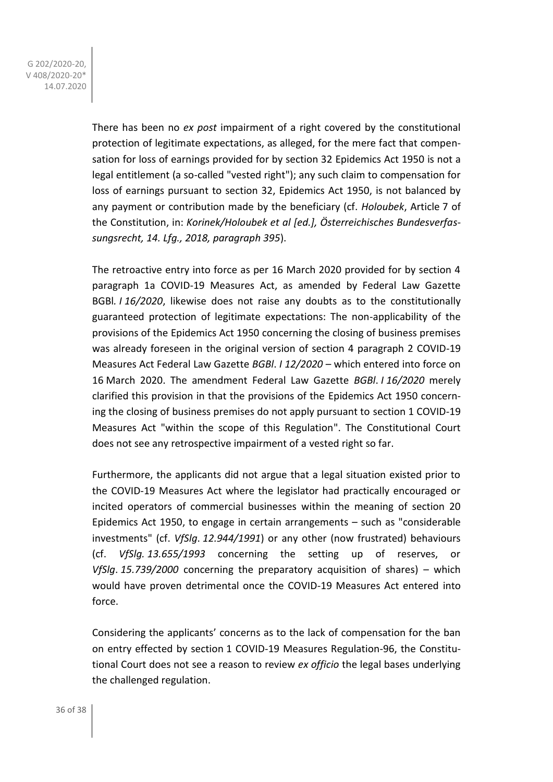> There has been no *ex post* impairment of a right covered by the constitutional protection of legitimate expectations, as alleged, for the mere fact that compensation for loss of earnings provided for by section 32 Epidemics Act 1950 is not a legal entitlement (a so-called "vested right"); any such claim to compensation for loss of earnings pursuant to section 32, Epidemics Act 1950, is not balanced by any payment or contribution made by the beneficiary (cf. *Holoubek*, Article 7 of the Constitution, in: *Korinek/Holoubek et al [ed.], Österreichisches Bundesverfassungsrecht, 14. Lfg., 2018, paragraph 395*).

> The retroactive entry into force as per 16 March 2020 provided for by section 4 paragraph 1a COVID-19 Measures Act, as amended by Federal Law Gazette BGBl*. I 16/2020*, likewise does not raise any doubts as to the constitutionally guaranteed protection of legitimate expectations: The non-applicability of the provisions of the Epidemics Act 1950 concerning the closing of business premises was already foreseen in the original version of section 4 paragraph 2 COVID-19 Measures Act Federal Law Gazette *BGBl*. *I 12/2020* – which entered into force on 16 March 2020. The amendment Federal Law Gazette *BGBl*. *I 16/2020* merely clarified this provision in that the provisions of the Epidemics Act 1950 concerning the closing of business premises do not apply pursuant to section 1 COVID-19 Measures Act "within the scope of this Regulation". The Constitutional Court does not see any retrospective impairment of a vested right so far.

> Furthermore, the applicants did not argue that a legal situation existed prior to the COVID-19 Measures Act where the legislator had practically encouraged or incited operators of commercial businesses within the meaning of section 20 Epidemics Act 1950, to engage in certain arrangements – such as "considerable investments" (cf. *VfSlg*. *12.944/1991*) or any other (now frustrated) behaviours (cf. *VfSlg. 13.655/1993* concerning the setting up of reserves, or *VfSlg*. *15.739/2000* concerning the preparatory acquisition of shares) – which would have proven detrimental once the COVID-19 Measures Act entered into force.

> Considering the applicants' concerns as to the lack of compensation for the ban on entry effected by section 1 COVID-19 Measures Regulation-96, the Constitutional Court does not see a reason to review *ex officio* the legal bases underlying the challenged regulation.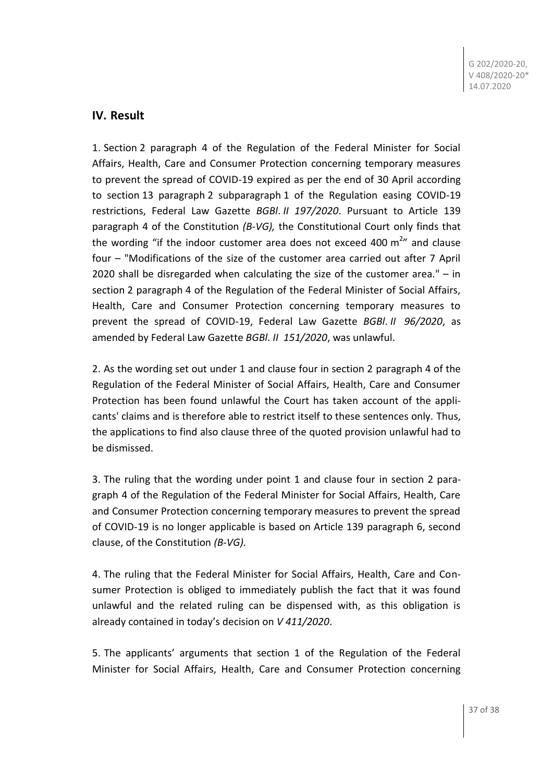## **IV. Result**

1. Section 2 paragraph 4 of the Regulation of the Federal Minister for Social Affairs, Health, Care and Consumer Protection concerning temporary measures to prevent the spread of COVID-19 expired as per the end of 30 April according to section 13 paragraph 2 subparagraph 1 of the Regulation easing COVID-19 restrictions, Federal Law Gazette *BGBl*. *II 197/2020*. Pursuant to Article 139 paragraph 4 of the Constitution *(B-VG),* the Constitutional Court only finds that the wording "if the indoor customer area does not exceed 400  $m^{2}$ " and clause four – "Modifications of the size of the customer area carried out after 7 April 2020 shall be disregarded when calculating the size of the customer area." – in section 2 paragraph 4 of the Regulation of the Federal Minister of Social Affairs, Health, Care and Consumer Protection concerning temporary measures to prevent the spread of COVID-19, Federal Law Gazette *BGBl*. *II 96/2020*, as amended by Federal Law Gazette *BGBl*. *II 151/2020*, was unlawful.

2. As the wording set out under 1 and clause four in section 2 paragraph 4 of the Regulation of the Federal Minister of Social Affairs, Health, Care and Consumer Protection has been found unlawful the Court has taken account of the applicants' claims and is therefore able to restrict itself to these sentences only. Thus, the applications to find also clause three of the quoted provision unlawful had to be dismissed.

3. The ruling that the wording under point 1 and clause four in section 2 paragraph 4 of the Regulation of the Federal Minister for Social Affairs, Health, Care and Consumer Protection concerning temporary measures to prevent the spread of COVID-19 is no longer applicable is based on Article 139 paragraph 6, second clause, of the Constitution *(B-VG).*

4. The ruling that the Federal Minister for Social Affairs, Health, Care and Consumer Protection is obliged to immediately publish the fact that it was found unlawful and the related ruling can be dispensed with, as this obligation is already contained in today's decision on *V 411/2020*.

5. The applicants' arguments that section 1 of the Regulation of the Federal Minister for Social Affairs, Health, Care and Consumer Protection concerning